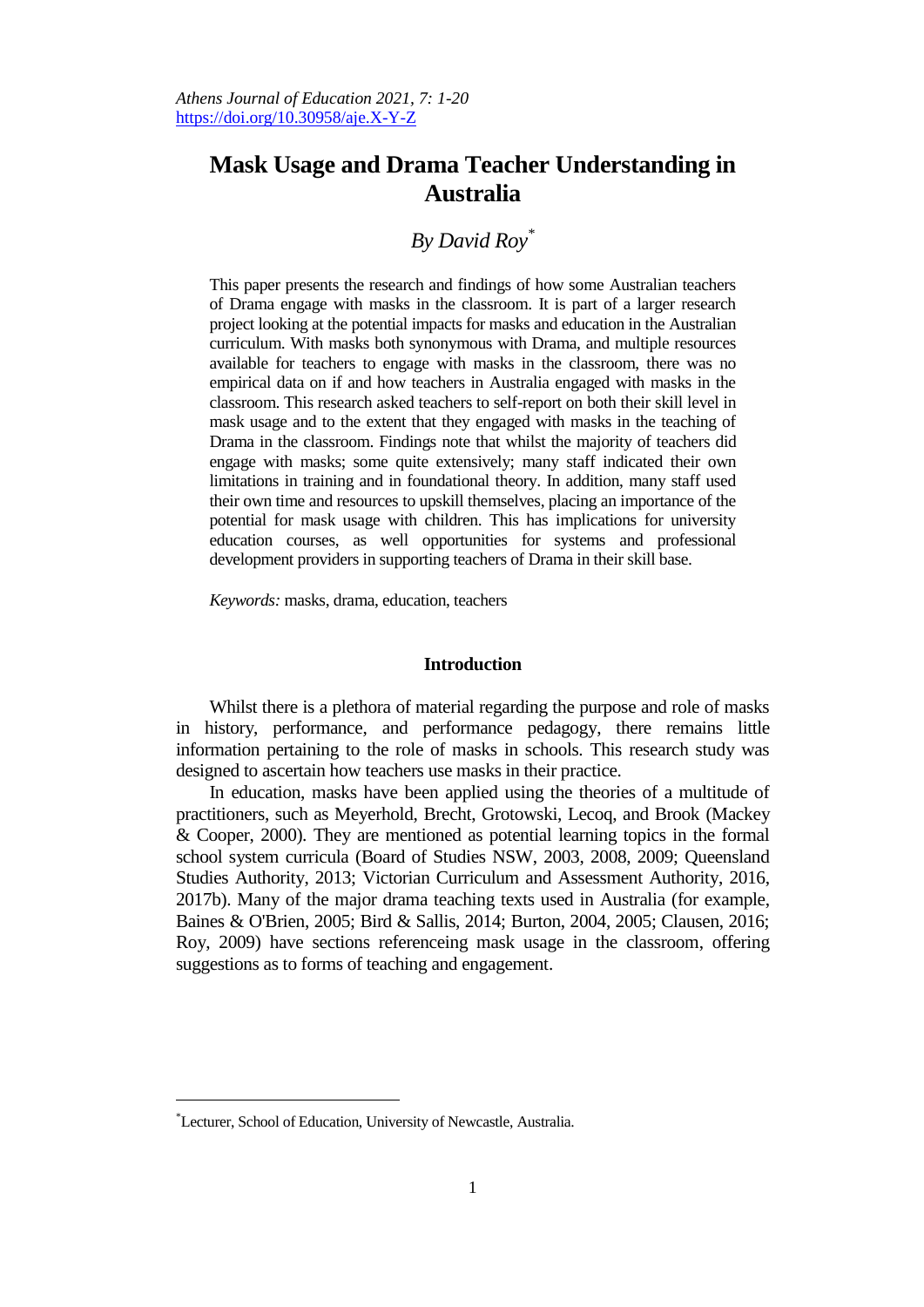# **Mask Usage and Drama Teacher Understanding in Australia**

# *By David Roy\**

This paper presents the research and findings of how some Australian teachers of Drama engage with masks in the classroom. It is part of a larger research project looking at the potential impacts for masks and education in the Australian curriculum. With masks both synonymous with Drama, and multiple resources available for teachers to engage with masks in the classroom, there was no empirical data on if and how teachers in Australia engaged with masks in the classroom. This research asked teachers to self-report on both their skill level in mask usage and to the extent that they engaged with masks in the teaching of Drama in the classroom. Findings note that whilst the majority of teachers did engage with masks; some quite extensively; many staff indicated their own limitations in training and in foundational theory. In addition, many staff used their own time and resources to upskill themselves, placing an importance of the potential for mask usage with children. This has implications for university education courses, as well opportunities for systems and professional development providers in supporting teachers of Drama in their skill base.

*Keywords:* masks, drama, education, teachers

#### **Introduction**

Whilst there is a plethora of material regarding the purpose and role of masks in history, performance, and performance pedagogy, there remains little information pertaining to the role of masks in schools. This research study was designed to ascertain how teachers use masks in their practice.

In education, masks have been applied using the theories of a multitude of practitioners, such as Meyerhold, Brecht, Grotowski, Lecoq, and Brook (Mackey & Cooper, 2000). They are mentioned as potential learning topics in the formal school system curricula (Board of Studies NSW, 2003, 2008, 2009; Queensland Studies Authority, 2013; Victorian Curriculum and Assessment Authority, 2016, 2017b). Many of the major drama teaching texts used in Australia (for example, Baines & O'Brien, 2005; Bird & Sallis, 2014; Burton, 2004, 2005; Clausen, 2016; Roy, 2009) have sections referenceing mask usage in the classroom, offering suggestions as to forms of teaching and engagement.

 $\overline{a}$ 

<sup>\*</sup>Lecturer, School of Education, University of Newcastle, Australia.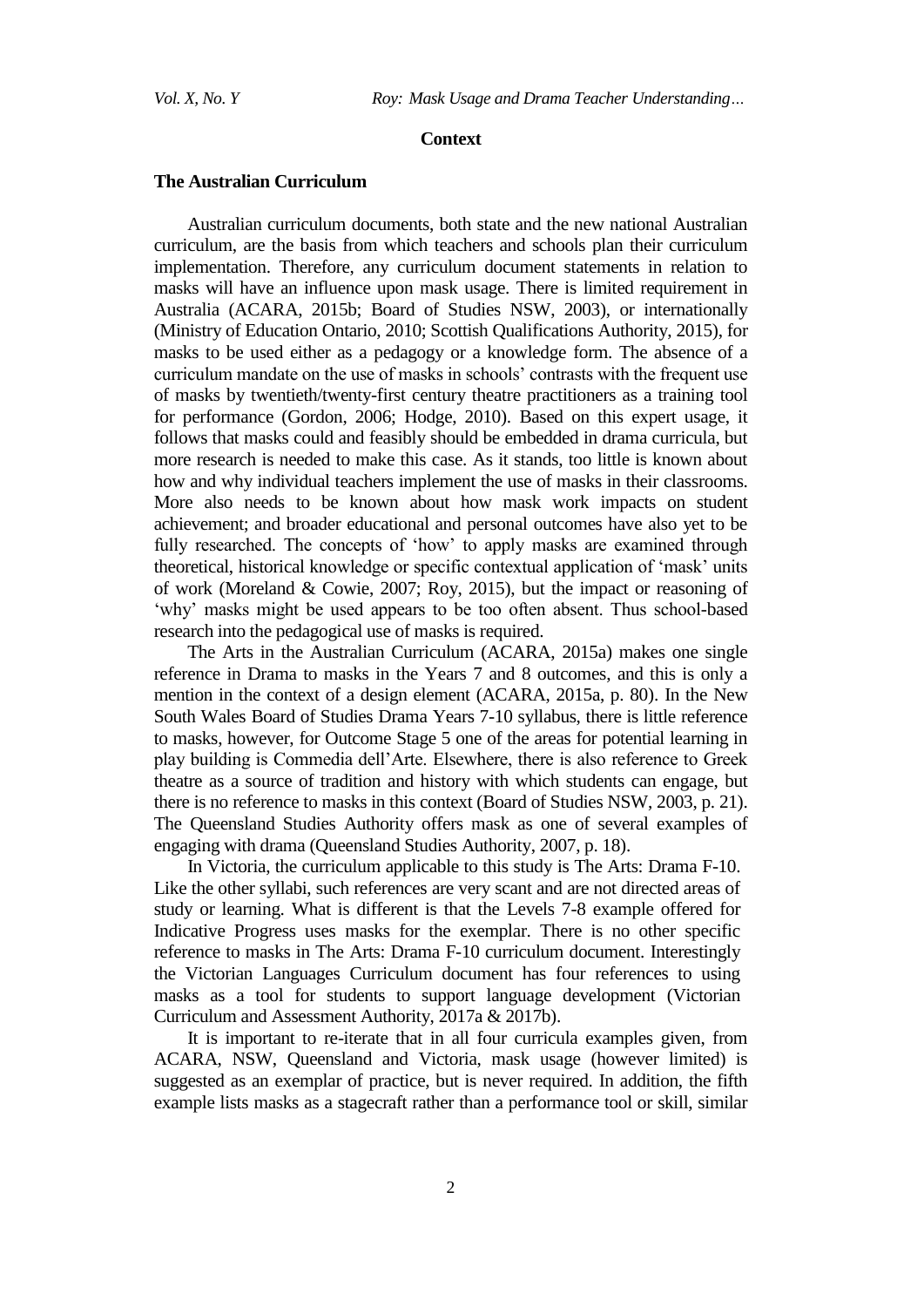#### **Context**

# **The Australian Curriculum**

Australian curriculum documents, both state and the new national Australian curriculum, are the basis from which teachers and schools plan their curriculum implementation. Therefore, any curriculum document statements in relation to masks will have an influence upon mask usage. There is limited requirement in Australia (ACARA, 2015b; Board of Studies NSW, 2003), or internationally (Ministry of Education Ontario, 2010; Scottish Qualifications Authority, 2015), for masks to be used either as a pedagogy or a knowledge form. The absence of a curriculum mandate on the use of masks in schools" contrasts with the frequent use of masks by twentieth/twenty-first century theatre practitioners as a training tool for performance (Gordon, 2006; Hodge, 2010). Based on this expert usage, it follows that masks could and feasibly should be embedded in drama curricula, but more research is needed to make this case. As it stands, too little is known about how and why individual teachers implement the use of masks in their classrooms. More also needs to be known about how mask work impacts on student achievement; and broader educational and personal outcomes have also yet to be fully researched. The concepts of 'how' to apply masks are examined through theoretical, historical knowledge or specific contextual application of "mask" units of work (Moreland & Cowie, 2007; Roy, 2015), but the impact or reasoning of 'why' masks might be used appears to be too often absent. Thus school-based research into the pedagogical use of masks is required.

The Arts in the Australian Curriculum (ACARA, 2015a) makes one single reference in Drama to masks in the Years 7 and 8 outcomes, and this is only a mention in the context of a design element (ACARA, 2015a, p. 80). In the New South Wales Board of Studies Drama Years 7-10 syllabus, there is little reference to masks, however, for Outcome Stage 5 one of the areas for potential learning in play building is Commedia dell"Arte. Elsewhere, there is also reference to Greek theatre as a source of tradition and history with which students can engage, but there is no reference to masks in this context (Board of Studies NSW, 2003, p. 21). The Queensland Studies Authority offers mask as one of several examples of engaging with drama (Queensland Studies Authority, 2007, p. 18).

In Victoria, the curriculum applicable to this study is The Arts: Drama F-10. Like the other syllabi, such references are very scant and are not directed areas of study or learning. What is different is that the Levels 7-8 example offered for Indicative Progress uses masks for the exemplar. There is no other specific reference to masks in The Arts: Drama F-10 curriculum document. Interestingly the Victorian Languages Curriculum document has four references to using masks as a tool for students to support language development (Victorian Curriculum and Assessment Authority, 2017a & 2017b).

It is important to re-iterate that in all four curricula examples given, from ACARA, NSW, Queensland and Victoria, mask usage (however limited) is suggested as an exemplar of practice, but is never required. In addition, the fifth example lists masks as a stagecraft rather than a performance tool or skill, similar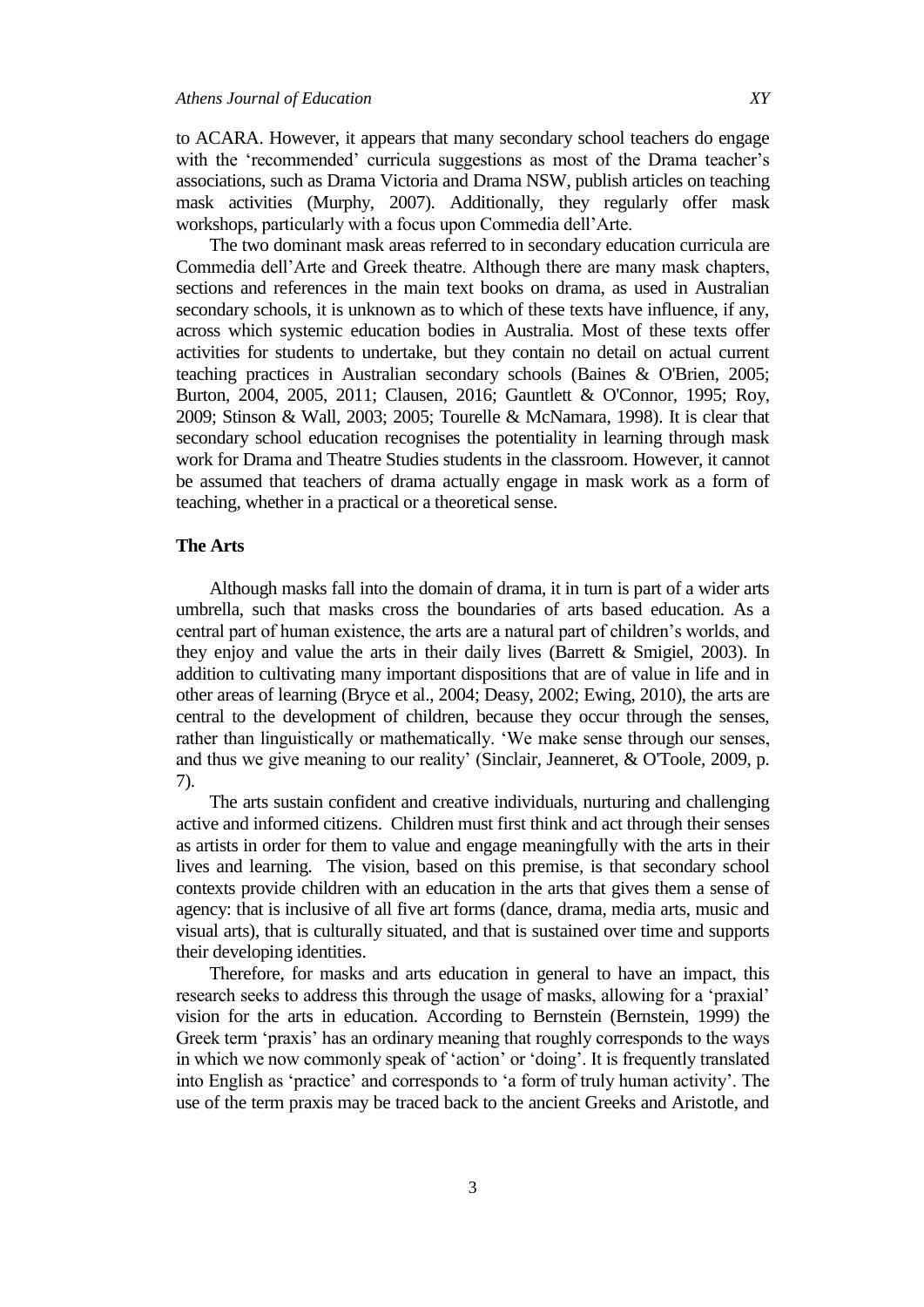to ACARA. However, it appears that many secondary school teachers do engage with the 'recommended' curricula suggestions as most of the Drama teacher's associations, such as Drama Victoria and Drama NSW, publish articles on teaching mask activities (Murphy, 2007). Additionally, they regularly offer mask workshops, particularly with a focus upon Commedia dell"Arte.

The two dominant mask areas referred to in secondary education curricula are Commedia dell"Arte and Greek theatre. Although there are many mask chapters, sections and references in the main text books on drama, as used in Australian secondary schools, it is unknown as to which of these texts have influence, if any, across which systemic education bodies in Australia. Most of these texts offer activities for students to undertake, but they contain no detail on actual current teaching practices in Australian secondary schools (Baines & O'Brien, 2005; Burton, 2004, 2005, 2011; Clausen, 2016; Gauntlett & O'Connor, 1995; Roy, 2009; Stinson & Wall, 2003; 2005; Tourelle & McNamara, 1998). It is clear that secondary school education recognises the potentiality in learning through mask work for Drama and Theatre Studies students in the classroom. However, it cannot be assumed that teachers of drama actually engage in mask work as a form of teaching, whether in a practical or a theoretical sense.

### **The Arts**

Although masks fall into the domain of drama, it in turn is part of a wider arts umbrella, such that masks cross the boundaries of arts based education. As a central part of human existence, the arts are a natural part of children"s worlds, and they enjoy and value the arts in their daily lives (Barrett & Smigiel, 2003). In addition to cultivating many important dispositions that are of value in life and in other areas of learning (Bryce et al., 2004; Deasy, 2002; Ewing, 2010), the arts are central to the development of children, because they occur through the senses, rather than linguistically or mathematically. "We make sense through our senses, and thus we give meaning to our reality' (Sinclair, Jeanneret, & O'Toole, 2009, p. 7).

The arts sustain confident and creative individuals, nurturing and challenging active and informed citizens. Children must first think and act through their senses as artists in order for them to value and engage meaningfully with the arts in their lives and learning. The vision, based on this premise, is that secondary school contexts provide children with an education in the arts that gives them a sense of agency: that is inclusive of all five art forms (dance, drama, media arts, music and visual arts), that is culturally situated, and that is sustained over time and supports their developing identities.

Therefore, for masks and arts education in general to have an impact, this research seeks to address this through the usage of masks, allowing for a "praxial" vision for the arts in education. According to Bernstein (Bernstein, 1999) the Greek term 'praxis' has an ordinary meaning that roughly corresponds to the ways in which we now commonly speak of 'action' or 'doing'. It is frequently translated into English as "practice" and corresponds to "a form of truly human activity". The use of the term praxis may be traced back to the ancient Greeks and Aristotle, and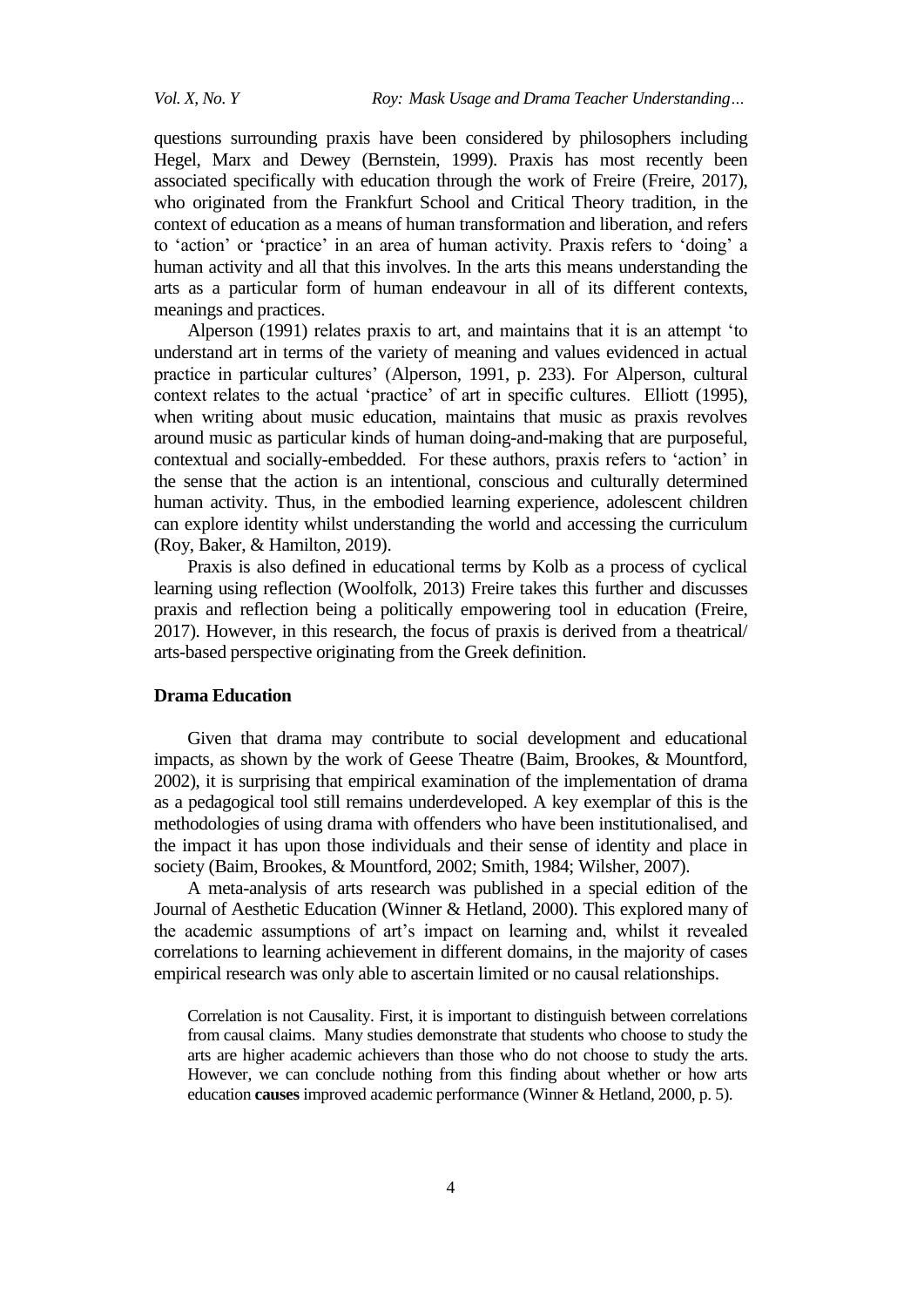questions surrounding praxis have been considered by philosophers including Hegel, Marx and Dewey (Bernstein, 1999). Praxis has most recently been associated specifically with education through the work of Freire (Freire, 2017), who originated from the Frankfurt School and Critical Theory tradition, in the context of education as a means of human transformation and liberation, and refers to "action" or "practice" in an area of human activity. Praxis refers to "doing" a human activity and all that this involves. In the arts this means understanding the arts as a particular form of human endeavour in all of its different contexts, meanings and practices.

Alperson (1991) relates praxis to art, and maintains that it is an attempt "to understand art in terms of the variety of meaning and values evidenced in actual practice in particular cultures' (Alperson, 1991, p. 233). For Alperson, cultural context relates to the actual "practice" of art in specific cultures. Elliott (1995), when writing about music education, maintains that music as praxis revolves around music as particular kinds of human doing-and-making that are purposeful, contextual and socially-embedded. For these authors, praxis refers to "action" in the sense that the action is an intentional, conscious and culturally determined human activity. Thus, in the embodied learning experience, adolescent children can explore identity whilst understanding the world and accessing the curriculum (Roy, Baker, & Hamilton, 2019).

Praxis is also defined in educational terms by Kolb as a process of cyclical learning using reflection (Woolfolk, 2013) Freire takes this further and discusses praxis and reflection being a politically empowering tool in education (Freire, 2017). However, in this research, the focus of praxis is derived from a theatrical/ arts-based perspective originating from the Greek definition.

#### **Drama Education**

Given that drama may contribute to social development and educational impacts, as shown by the work of Geese Theatre (Baim, Brookes, & Mountford, 2002), it is surprising that empirical examination of the implementation of drama as a pedagogical tool still remains underdeveloped. A key exemplar of this is the methodologies of using drama with offenders who have been institutionalised, and the impact it has upon those individuals and their sense of identity and place in society (Baim, Brookes, & Mountford, 2002; Smith, 1984; Wilsher, 2007).

A meta-analysis of arts research was published in a special edition of the Journal of Aesthetic Education (Winner & Hetland, 2000). This explored many of the academic assumptions of art"s impact on learning and, whilst it revealed correlations to learning achievement in different domains, in the majority of cases empirical research was only able to ascertain limited or no causal relationships.

Correlation is not Causality. First, it is important to distinguish between correlations from causal claims. Many studies demonstrate that students who choose to study the arts are higher academic achievers than those who do not choose to study the arts. However, we can conclude nothing from this finding about whether or how arts education **causes** improved academic performance (Winner & Hetland, 2000, p. 5).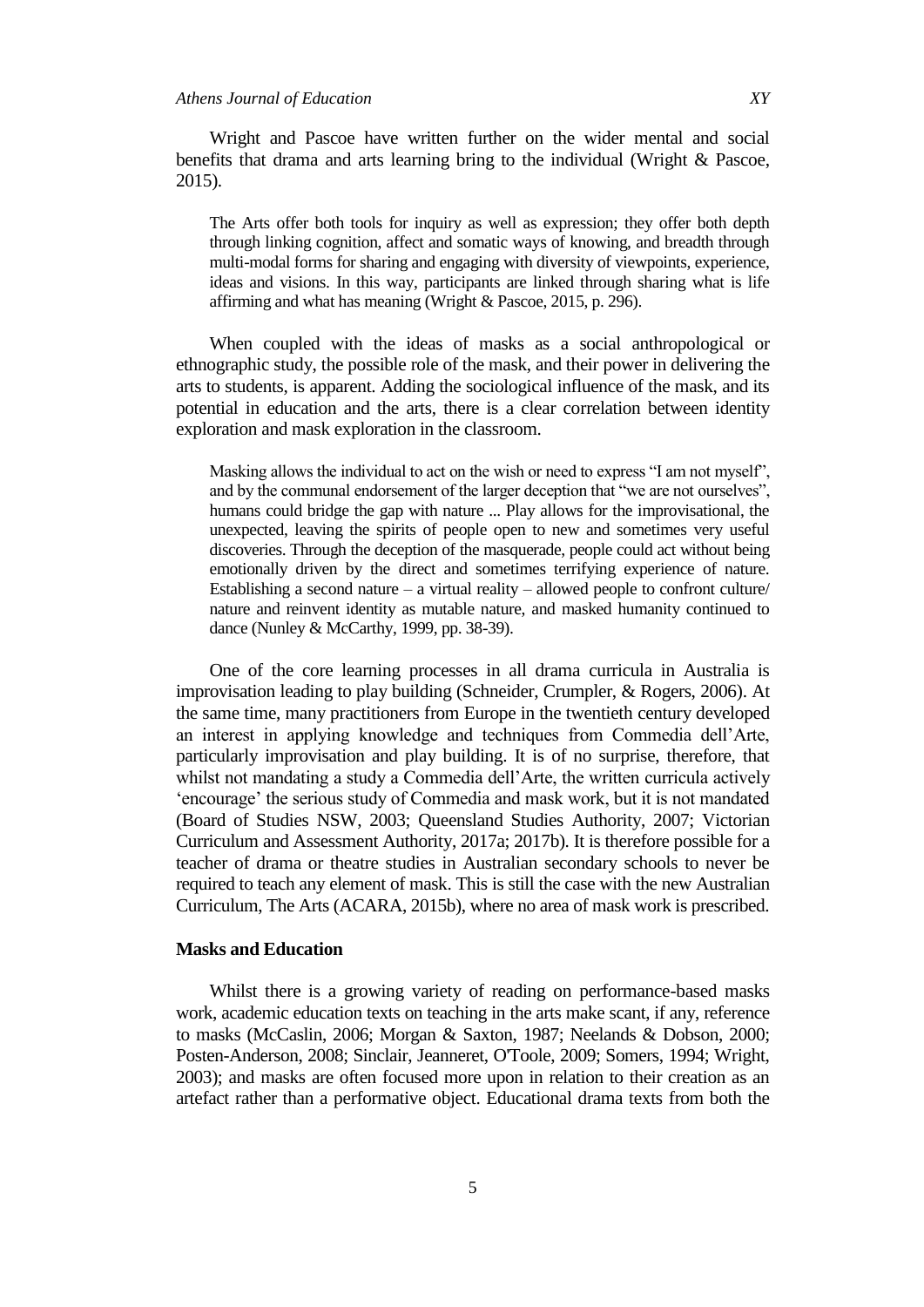Wright and Pascoe have written further on the wider mental and social benefits that drama and arts learning bring to the individual (Wright & Pascoe, 2015).

The Arts offer both tools for inquiry as well as expression; they offer both depth through linking cognition, affect and somatic ways of knowing, and breadth through multi-modal forms for sharing and engaging with diversity of viewpoints, experience, ideas and visions. In this way, participants are linked through sharing what is life affirming and what has meaning (Wright & Pascoe, 2015, p. 296).

When coupled with the ideas of masks as a social anthropological or ethnographic study, the possible role of the mask, and their power in delivering the arts to students, is apparent. Adding the sociological influence of the mask, and its potential in education and the arts, there is a clear correlation between identity exploration and mask exploration in the classroom.

Masking allows the individual to act on the wish or need to express "I am not myself", and by the communal endorsement of the larger deception that "we are not ourselves", humans could bridge the gap with nature ... Play allows for the improvisational, the unexpected, leaving the spirits of people open to new and sometimes very useful discoveries. Through the deception of the masquerade, people could act without being emotionally driven by the direct and sometimes terrifying experience of nature. Establishing a second nature – a virtual reality – allowed people to confront culture/ nature and reinvent identity as mutable nature, and masked humanity continued to dance (Nunley & McCarthy, 1999, pp. 38-39).

One of the core learning processes in all drama curricula in Australia is improvisation leading to play building (Schneider, Crumpler, & Rogers, 2006). At the same time, many practitioners from Europe in the twentieth century developed an interest in applying knowledge and techniques from Commedia dell"Arte, particularly improvisation and play building. It is of no surprise, therefore, that whilst not mandating a study a Commedia dell"Arte, the written curricula actively "encourage" the serious study of Commedia and mask work, but it is not mandated (Board of Studies NSW, 2003; Queensland Studies Authority, 2007; Victorian Curriculum and Assessment Authority, 2017a; 2017b). It is therefore possible for a teacher of drama or theatre studies in Australian secondary schools to never be required to teach any element of mask. This is still the case with the new Australian Curriculum, The Arts (ACARA, 2015b), where no area of mask work is prescribed.

## **Masks and Education**

Whilst there is a growing variety of reading on performance-based masks work, academic education texts on teaching in the arts make scant, if any, reference to masks (McCaslin, 2006; Morgan & Saxton, 1987; Neelands & Dobson, 2000; Posten-Anderson, 2008; Sinclair, Jeanneret, O'Toole, 2009; Somers, 1994; Wright, 2003); and masks are often focused more upon in relation to their creation as an artefact rather than a performative object. Educational drama texts from both the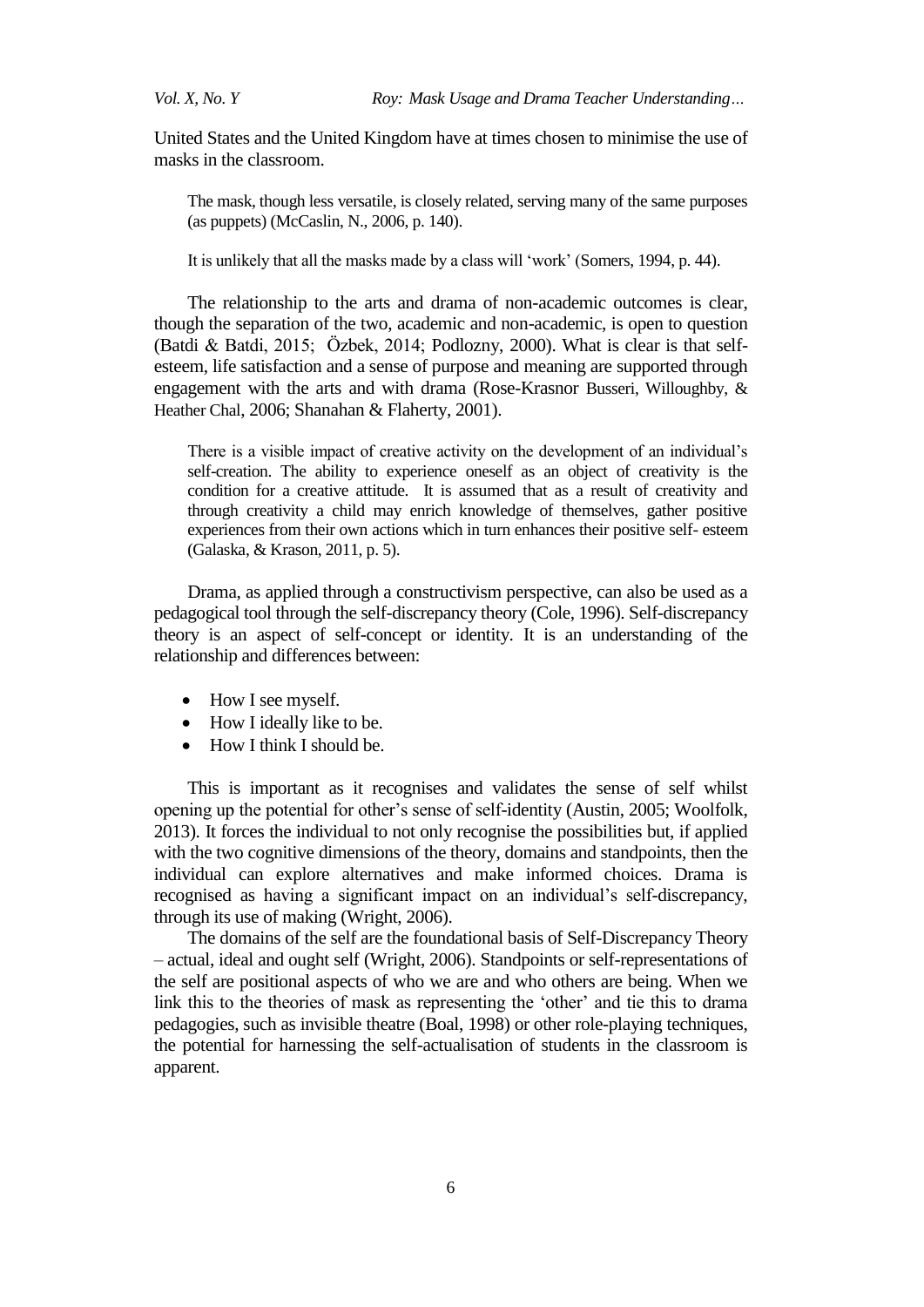United States and the United Kingdom have at times chosen to minimise the use of masks in the classroom.

The mask, though less versatile, is closely related, serving many of the same purposes (as puppets) (McCaslin, N., 2006, p. 140).

It is unlikely that all the masks made by a class will "work" (Somers, 1994, p. 44).

The relationship to the arts and drama of non-academic outcomes is clear, though the separation of the two, academic and non-academic, is open to question (Batdi & Batdi, 2015; Özbek, 2014; Podlozny, 2000). What is clear is that selfesteem, life satisfaction and a sense of purpose and meaning are supported through engagement with the arts and with drama (Rose-Krasnor Busseri, Willoughby, & Heather Chal, 2006; Shanahan & Flaherty, 2001).

There is a visible impact of creative activity on the development of an individual"s self-creation. The ability to experience oneself as an object of creativity is the condition for a creative attitude. It is assumed that as a result of creativity and through creativity a child may enrich knowledge of themselves, gather positive experiences from their own actions which in turn enhances their positive self- esteem (Galaska, & Krason, 2011, p. 5).

Drama, as applied through a constructivism perspective, can also be used as a pedagogical tool through the self-discrepancy theory (Cole, 1996). Self-discrepancy theory is an aspect of self-concept or identity. It is an understanding of the relationship and differences between:

- How I see myself.
- How I ideally like to be.
- How I think I should be.

This is important as it recognises and validates the sense of self whilst opening up the potential for other"s sense of self-identity (Austin, 2005; Woolfolk, 2013). It forces the individual to not only recognise the possibilities but, if applied with the two cognitive dimensions of the theory, domains and standpoints, then the individual can explore alternatives and make informed choices. Drama is recognised as having a significant impact on an individual"s self-discrepancy, through its use of making (Wright, 2006).

The domains of the self are the foundational basis of Self-Discrepancy Theory – actual, ideal and ought self (Wright, 2006). Standpoints or self-representations of the self are positional aspects of who we are and who others are being. When we link this to the theories of mask as representing the 'other' and tie this to drama pedagogies, such as invisible theatre (Boal, 1998) or other role-playing techniques, the potential for harnessing the self-actualisation of students in the classroom is apparent.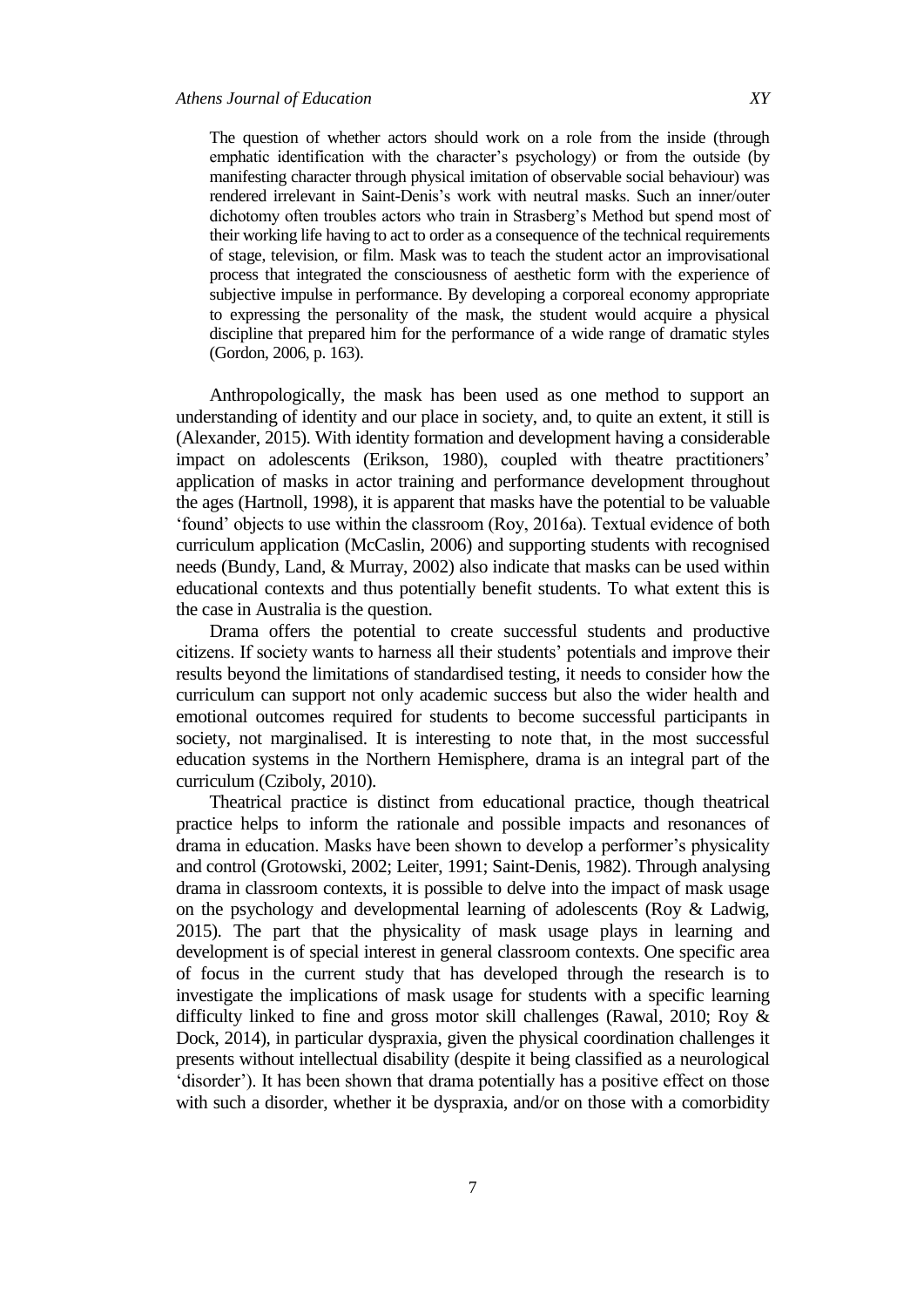The question of whether actors should work on a role from the inside (through emphatic identification with the character's psychology) or from the outside (by manifesting character through physical imitation of observable social behaviour) was rendered irrelevant in Saint-Denis"s work with neutral masks. Such an inner/outer dichotomy often troubles actors who train in Strasberg"s Method but spend most of their working life having to act to order as a consequence of the technical requirements of stage, television, or film. Mask was to teach the student actor an improvisational process that integrated the consciousness of aesthetic form with the experience of subjective impulse in performance. By developing a corporeal economy appropriate to expressing the personality of the mask, the student would acquire a physical discipline that prepared him for the performance of a wide range of dramatic styles (Gordon, 2006, p. 163).

Anthropologically, the mask has been used as one method to support an understanding of identity and our place in society, and, to quite an extent, it still is (Alexander, 2015). With identity formation and development having a considerable impact on adolescents (Erikson, 1980), coupled with theatre practitioners' application of masks in actor training and performance development throughout the ages (Hartnoll, 1998), it is apparent that masks have the potential to be valuable "found" objects to use within the classroom (Roy, 2016a). Textual evidence of both curriculum application (McCaslin, 2006) and supporting students with recognised needs (Bundy, Land, & Murray, 2002) also indicate that masks can be used within educational contexts and thus potentially benefit students. To what extent this is the case in Australia is the question.

Drama offers the potential to create successful students and productive citizens. If society wants to harness all their students" potentials and improve their results beyond the limitations of standardised testing, it needs to consider how the curriculum can support not only academic success but also the wider health and emotional outcomes required for students to become successful participants in society, not marginalised. It is interesting to note that, in the most successful education systems in the Northern Hemisphere, drama is an integral part of the curriculum (Cziboly, 2010).

Theatrical practice is distinct from educational practice, though theatrical practice helps to inform the rationale and possible impacts and resonances of drama in education. Masks have been shown to develop a performer"s physicality and control (Grotowski, 2002; Leiter, 1991; Saint-Denis, 1982). Through analysing drama in classroom contexts, it is possible to delve into the impact of mask usage on the psychology and developmental learning of adolescents (Roy & Ladwig, 2015). The part that the physicality of mask usage plays in learning and development is of special interest in general classroom contexts. One specific area of focus in the current study that has developed through the research is to investigate the implications of mask usage for students with a specific learning difficulty linked to fine and gross motor skill challenges (Rawal, 2010; Roy & Dock, 2014), in particular dyspraxia, given the physical coordination challenges it presents without intellectual disability (despite it being classified as a neurological 'disorder'). It has been shown that drama potentially has a positive effect on those with such a disorder, whether it be dyspraxia, and/or on those with a comorbidity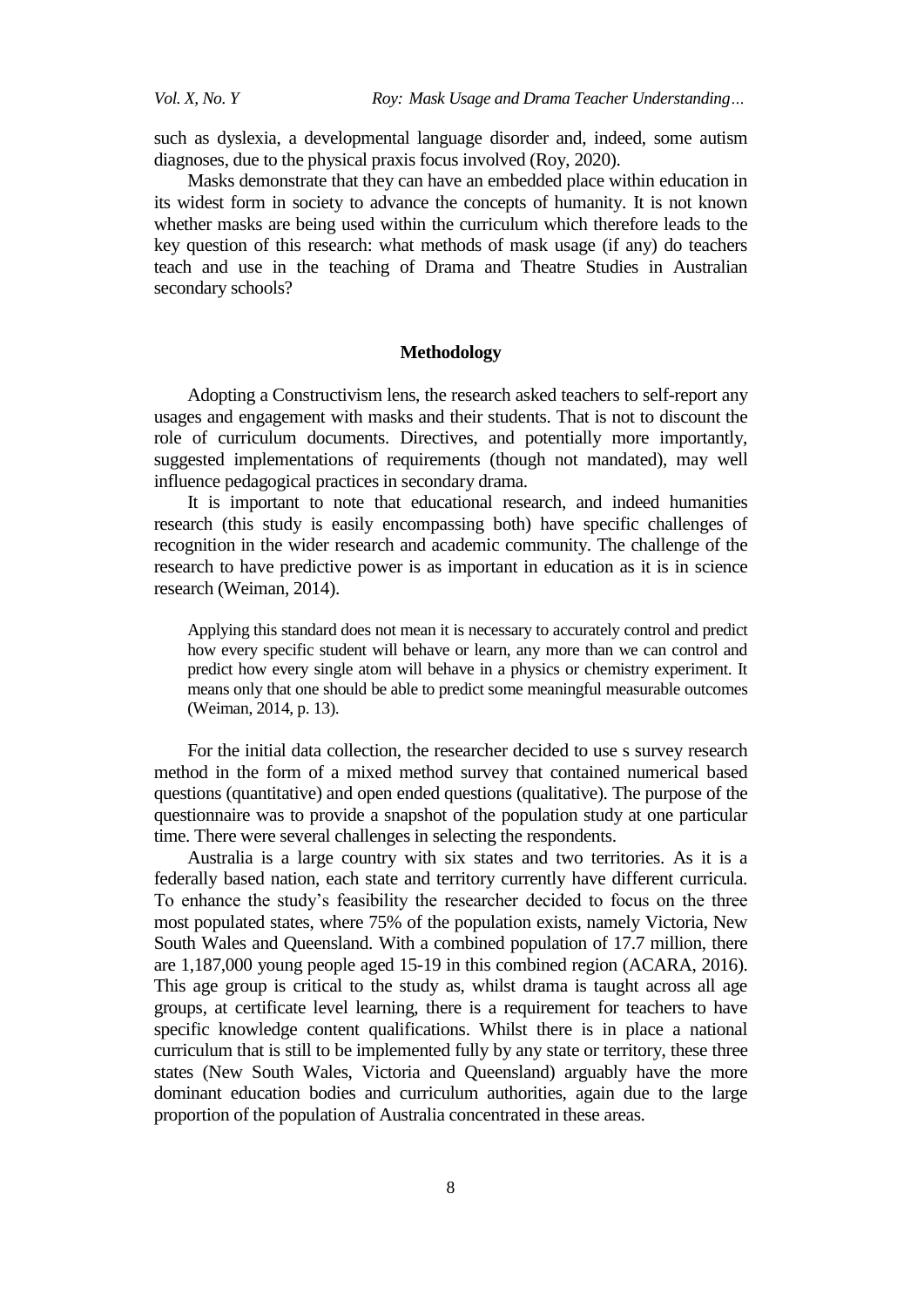such as dyslexia, a developmental language disorder and, indeed, some autism diagnoses, due to the physical praxis focus involved (Roy, 2020).

Masks demonstrate that they can have an embedded place within education in its widest form in society to advance the concepts of humanity. It is not known whether masks are being used within the curriculum which therefore leads to the key question of this research: what methods of mask usage (if any) do teachers teach and use in the teaching of Drama and Theatre Studies in Australian secondary schools?

## **Methodology**

Adopting a Constructivism lens, the research asked teachers to self-report any usages and engagement with masks and their students. That is not to discount the role of curriculum documents. Directives, and potentially more importantly, suggested implementations of requirements (though not mandated), may well influence pedagogical practices in secondary drama.

It is important to note that educational research, and indeed humanities research (this study is easily encompassing both) have specific challenges of recognition in the wider research and academic community. The challenge of the research to have predictive power is as important in education as it is in science research (Weiman, 2014).

Applying this standard does not mean it is necessary to accurately control and predict how every specific student will behave or learn, any more than we can control and predict how every single atom will behave in a physics or chemistry experiment. It means only that one should be able to predict some meaningful measurable outcomes (Weiman, 2014, p. 13).

For the initial data collection, the researcher decided to use s survey research method in the form of a mixed method survey that contained numerical based questions (quantitative) and open ended questions (qualitative). The purpose of the questionnaire was to provide a snapshot of the population study at one particular time. There were several challenges in selecting the respondents.

Australia is a large country with six states and two territories. As it is a federally based nation, each state and territory currently have different curricula. To enhance the study"s feasibility the researcher decided to focus on the three most populated states, where 75% of the population exists, namely Victoria, New South Wales and Queensland. With a combined population of 17.7 million, there are 1,187,000 young people aged 15-19 in this combined region (ACARA, 2016). This age group is critical to the study as, whilst drama is taught across all age groups, at certificate level learning, there is a requirement for teachers to have specific knowledge content qualifications. Whilst there is in place a national curriculum that is still to be implemented fully by any state or territory, these three states (New South Wales, Victoria and Queensland) arguably have the more dominant education bodies and curriculum authorities, again due to the large proportion of the population of Australia concentrated in these areas.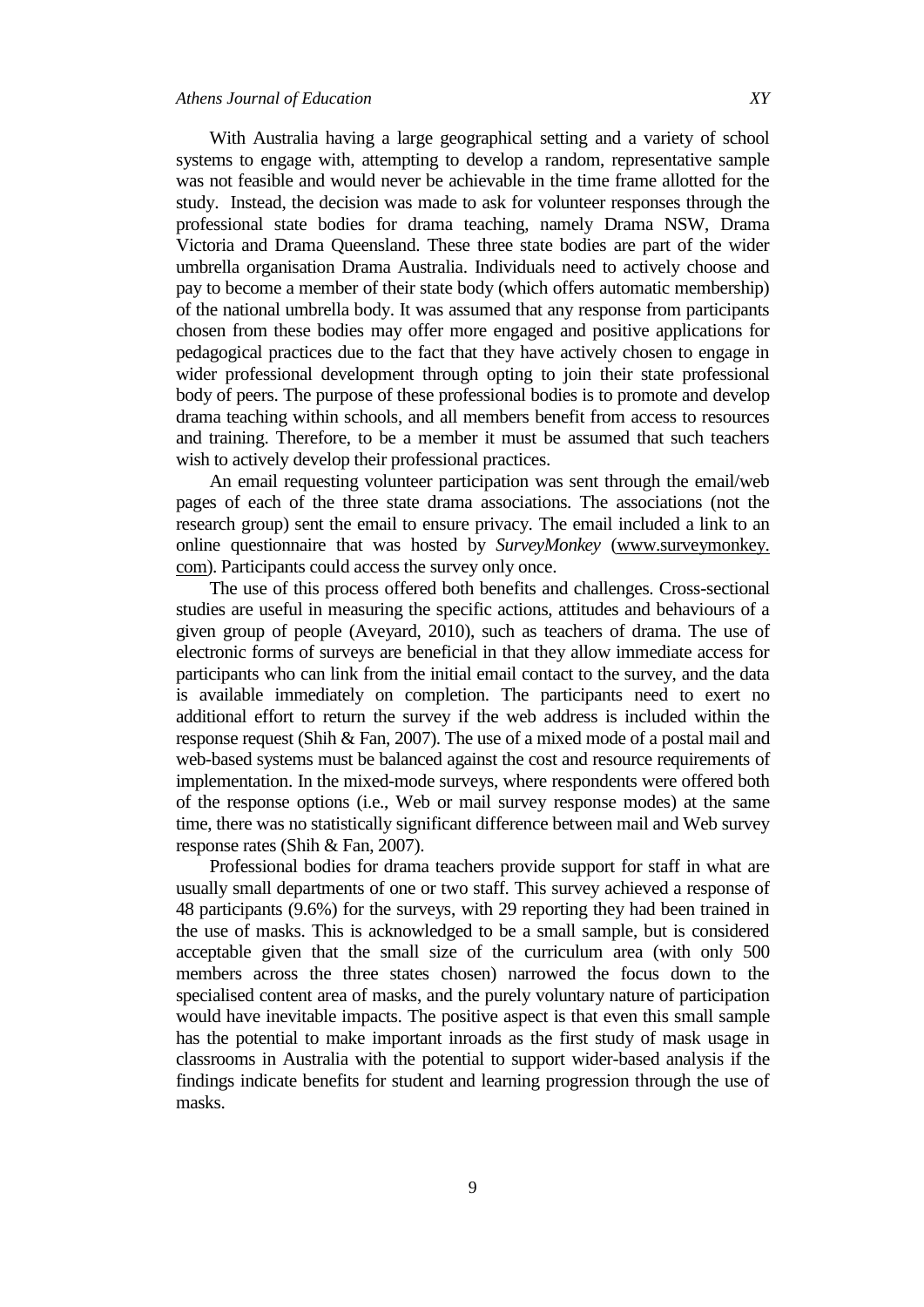With Australia having a large geographical setting and a variety of school systems to engage with, attempting to develop a random, representative sample was not feasible and would never be achievable in the time frame allotted for the study. Instead, the decision was made to ask for volunteer responses through the professional state bodies for drama teaching, namely Drama NSW, Drama Victoria and Drama Queensland. These three state bodies are part of the wider umbrella organisation Drama Australia. Individuals need to actively choose and pay to become a member of their state body (which offers automatic membership) of the national umbrella body. It was assumed that any response from participants chosen from these bodies may offer more engaged and positive applications for pedagogical practices due to the fact that they have actively chosen to engage in wider professional development through opting to join their state professional body of peers. The purpose of these professional bodies is to promote and develop drama teaching within schools, and all members benefit from access to resources and training. Therefore, to be a member it must be assumed that such teachers wish to actively develop their professional practices.

An email requesting volunteer participation was sent through the email/web pages of each of the three state drama associations. The associations (not the research group) sent the email to ensure privacy. The email included a link to an online questionnaire that was hosted by *SurveyMonkey* (www.surveymonkey. com). Participants could access the survey only once.

The use of this process offered both benefits and challenges. Cross-sectional studies are useful in measuring the specific actions, attitudes and behaviours of a given group of people (Aveyard, 2010), such as teachers of drama. The use of electronic forms of surveys are beneficial in that they allow immediate access for participants who can link from the initial email contact to the survey, and the data is available immediately on completion. The participants need to exert no additional effort to return the survey if the web address is included within the response request (Shih & Fan, 2007). The use of a mixed mode of a postal mail and web-based systems must be balanced against the cost and resource requirements of implementation. In the mixed-mode surveys, where respondents were offered both of the response options (i.e., Web or mail survey response modes) at the same time, there was no statistically significant difference between mail and Web survey response rates (Shih & Fan, 2007).

Professional bodies for drama teachers provide support for staff in what are usually small departments of one or two staff. This survey achieved a response of 48 participants (9.6%) for the surveys, with 29 reporting they had been trained in the use of masks. This is acknowledged to be a small sample, but is considered acceptable given that the small size of the curriculum area (with only 500 members across the three states chosen) narrowed the focus down to the specialised content area of masks, and the purely voluntary nature of participation would have inevitable impacts. The positive aspect is that even this small sample has the potential to make important inroads as the first study of mask usage in classrooms in Australia with the potential to support wider-based analysis if the findings indicate benefits for student and learning progression through the use of masks.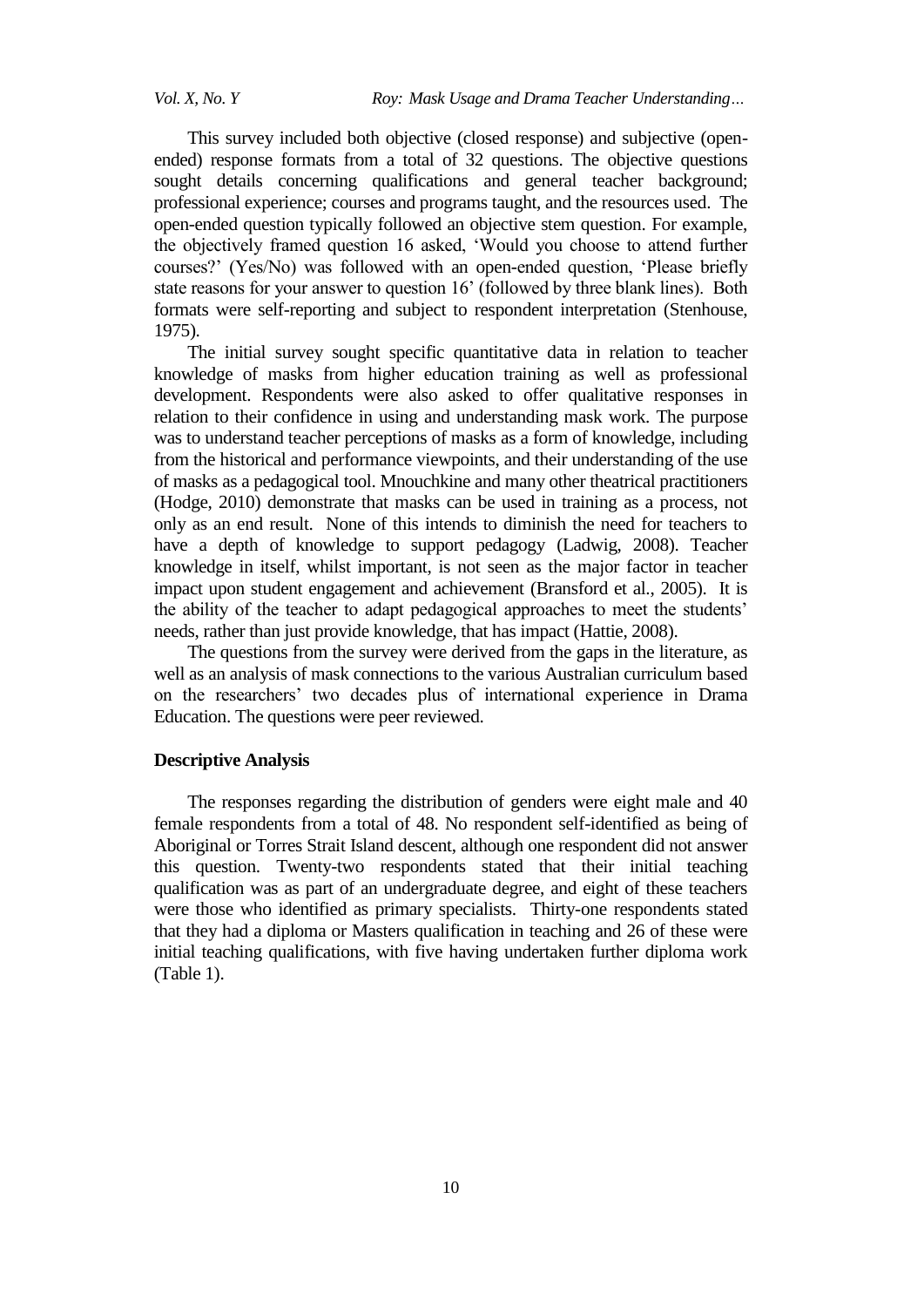This survey included both objective (closed response) and subjective (openended) response formats from a total of 32 questions. The objective questions sought details concerning qualifications and general teacher background; professional experience; courses and programs taught, and the resources used. The open-ended question typically followed an objective stem question. For example, the objectively framed question 16 asked, "Would you choose to attend further courses?" (Yes/No) was followed with an open-ended question, "Please briefly state reasons for your answer to question 16' (followed by three blank lines). Both formats were self-reporting and subject to respondent interpretation (Stenhouse, 1975).

The initial survey sought specific quantitative data in relation to teacher knowledge of masks from higher education training as well as professional development. Respondents were also asked to offer qualitative responses in relation to their confidence in using and understanding mask work. The purpose was to understand teacher perceptions of masks as a form of knowledge, including from the historical and performance viewpoints, and their understanding of the use of masks as a pedagogical tool. Mnouchkine and many other theatrical practitioners (Hodge, 2010) demonstrate that masks can be used in training as a process, not only as an end result. None of this intends to diminish the need for teachers to have a depth of knowledge to support pedagogy (Ladwig, 2008). Teacher knowledge in itself, whilst important, is not seen as the major factor in teacher impact upon student engagement and achievement (Bransford et al., 2005). It is the ability of the teacher to adapt pedagogical approaches to meet the students' needs, rather than just provide knowledge, that has impact (Hattie, 2008).

The questions from the survey were derived from the gaps in the literature, as well as an analysis of mask connections to the various Australian curriculum based on the researchers" two decades plus of international experience in Drama Education. The questions were peer reviewed.

## **Descriptive Analysis**

The responses regarding the distribution of genders were eight male and 40 female respondents from a total of 48. No respondent self-identified as being of Aboriginal or Torres Strait Island descent, although one respondent did not answer this question. Twenty-two respondents stated that their initial teaching qualification was as part of an undergraduate degree, and eight of these teachers were those who identified as primary specialists. Thirty-one respondents stated that they had a diploma or Masters qualification in teaching and 26 of these were initial teaching qualifications, with five having undertaken further diploma work (Table 1).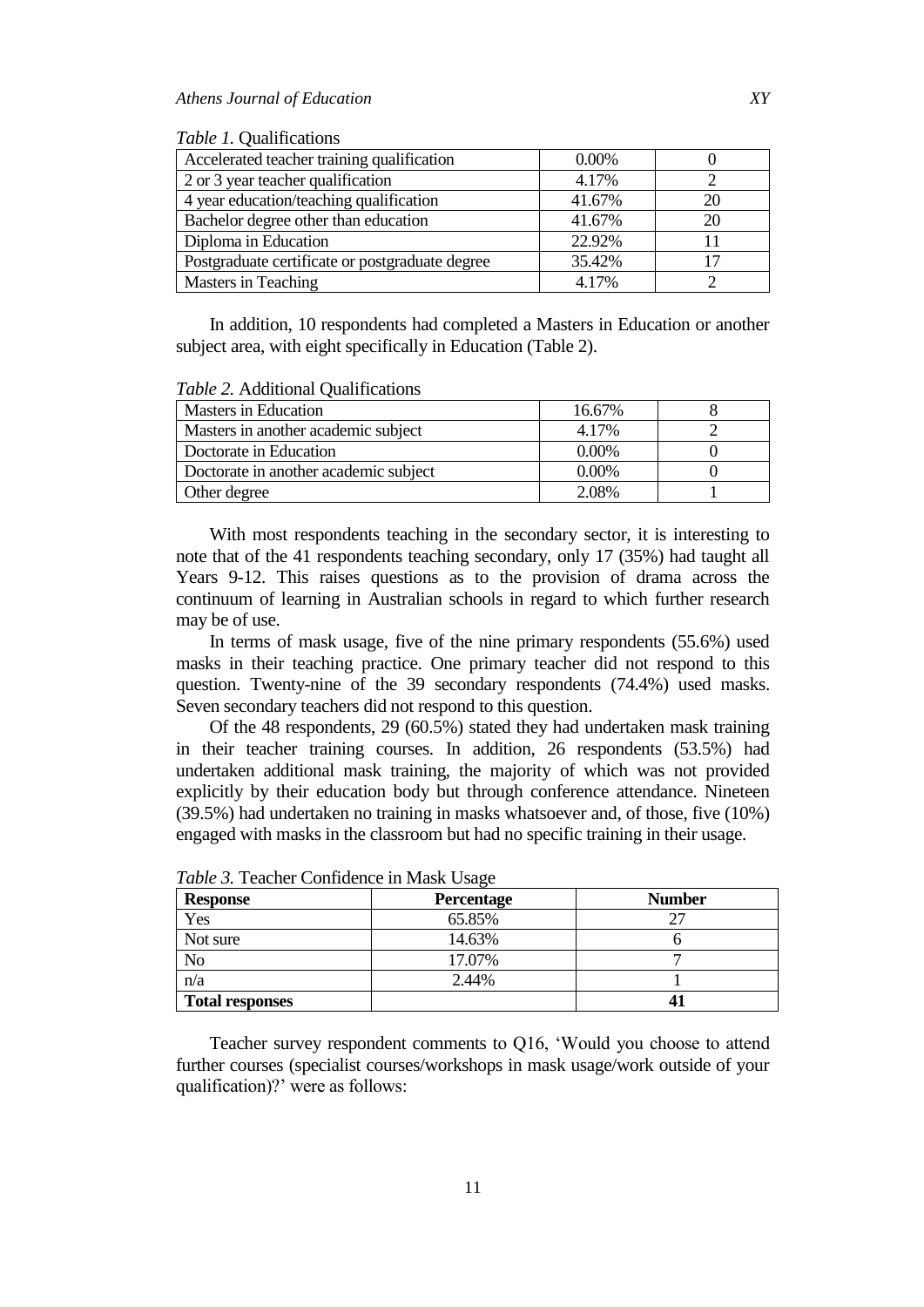| <i>Table 1.</i> Qualifications                  |          |    |
|-------------------------------------------------|----------|----|
| Accelerated teacher training qualification      | $0.00\%$ |    |
| 2 or 3 year teacher qualification               | 4.17%    |    |
| 4 year education/teaching qualification         | 41.67%   | 20 |
| Bachelor degree other than education            | 41.67%   | 20 |
| Diploma in Education                            | 22.92%   | 11 |
| Postgraduate certificate or postgraduate degree | 35.42%   | 17 |
| Masters in Teaching                             | 4.17%    |    |

In addition, 10 respondents had completed a Masters in Education or another subject area, with eight specifically in Education (Table 2).

| <b>Masters in Education</b>           | 16.67%   |  |
|---------------------------------------|----------|--|
| Masters in another academic subject   | 4.17%    |  |
| Doctorate in Education                | $0.00\%$ |  |
| Doctorate in another academic subject | $0.00\%$ |  |
| Other degree                          | 2.08%    |  |

*Table 2.* Additional Qualifications

With most respondents teaching in the secondary sector, it is interesting to note that of the 41 respondents teaching secondary, only 17 (35%) had taught all Years 9-12. This raises questions as to the provision of drama across the continuum of learning in Australian schools in regard to which further research may be of use.

In terms of mask usage, five of the nine primary respondents (55.6%) used masks in their teaching practice. One primary teacher did not respond to this question. Twenty-nine of the 39 secondary respondents (74.4%) used masks. Seven secondary teachers did not respond to this question.

Of the 48 respondents, 29 (60.5%) stated they had undertaken mask training in their teacher training courses. In addition, 26 respondents (53.5%) had undertaken additional mask training, the majority of which was not provided explicitly by their education body but through conference attendance. Nineteen (39.5%) had undertaken no training in masks whatsoever and, of those, five (10%) engaged with masks in the classroom but had no specific training in their usage.

| <b>Response</b>        | Percentage | <b>Number</b> |
|------------------------|------------|---------------|
| Yes                    | 65.85%     | 27            |
| Not sure               | 14.63%     |               |
| No                     | 17.07%     |               |
| n/a                    | 2.44%      |               |
| <b>Total responses</b> |            |               |

*Table 3.* Teacher Confidence in Mask Usage

Teacher survey respondent comments to Q16, "Would you choose to attend further courses (specialist courses/workshops in mask usage/work outside of your qualification)?' were as follows: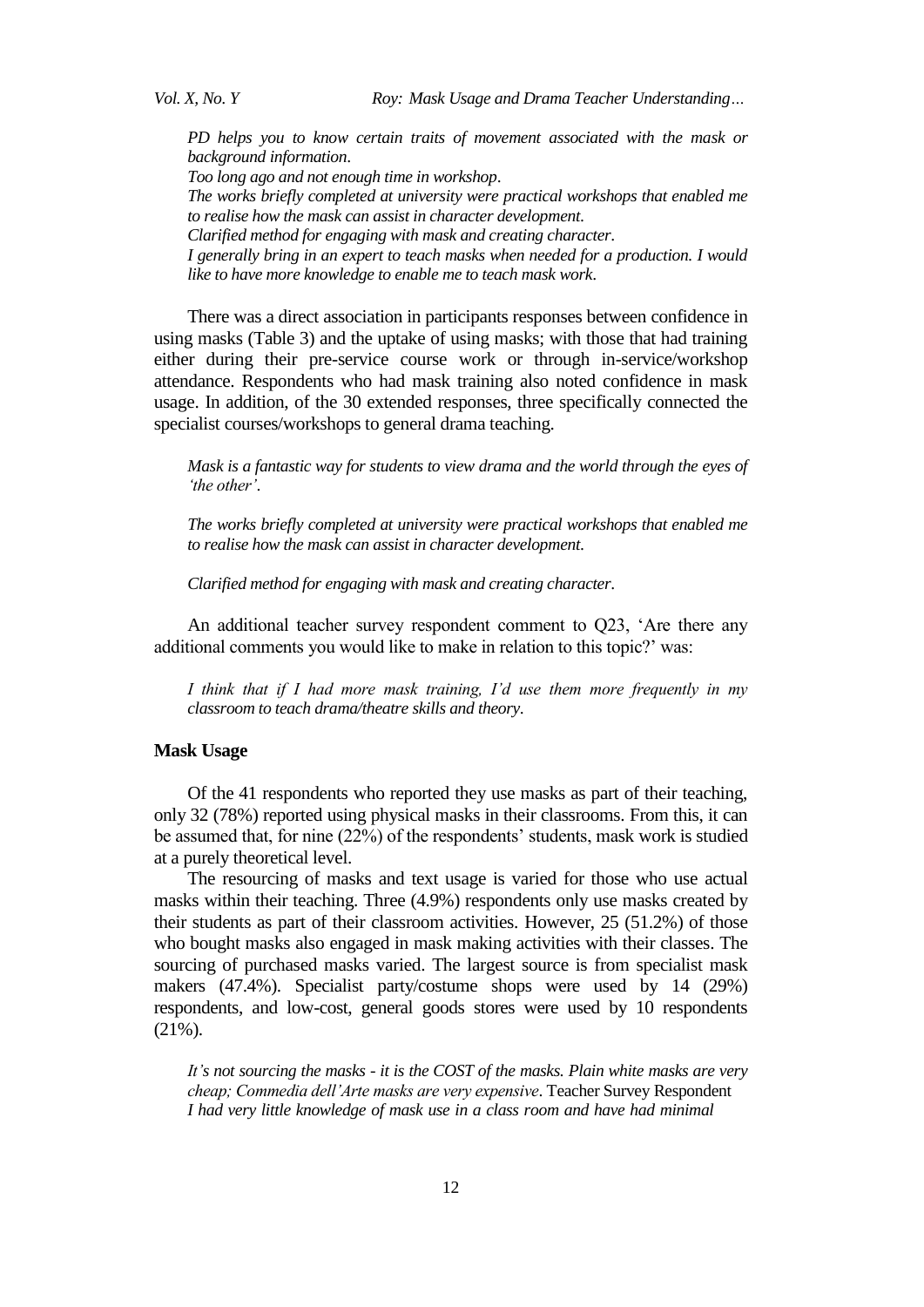*Vol. X, No. Y Roy: Mask Usage and Drama Teacher Understanding…*

*PD helps you to know certain traits of movement associated with the mask or background information*. *Too long ago and not enough time in workshop*. *The works briefly completed at university were practical workshops that enabled me to realise how the mask can assist in character development*. *Clarified method for engaging with mask and creating character*. *I generally bring in an expert to teach masks when needed for a production. I would like to have more knowledge to enable me to teach mask work*.

There was a direct association in participants responses between confidence in using masks (Table 3) and the uptake of using masks; with those that had training either during their pre-service course work or through in-service/workshop attendance. Respondents who had mask training also noted confidence in mask usage. In addition, of the 30 extended responses, three specifically connected the specialist courses/workshops to general drama teaching.

*Mask is a fantastic way for students to view drama and the world through the eyes of 'the other'*.

*The works briefly completed at university were practical workshops that enabled me to realise how the mask can assist in character development*.

*Clarified method for engaging with mask and creating character*.

An additional teacher survey respondent comment to Q23, "Are there any additional comments you would like to make in relation to this topic?' was:

*I think that if I had more mask training, I'd use them more frequently in my classroom to teach drama/theatre skills and theory*.

## **Mask Usage**

Of the 41 respondents who reported they use masks as part of their teaching, only 32 (78%) reported using physical masks in their classrooms. From this, it can be assumed that, for nine (22%) of the respondents' students, mask work is studied at a purely theoretical level.

The resourcing of masks and text usage is varied for those who use actual masks within their teaching. Three (4.9%) respondents only use masks created by their students as part of their classroom activities. However, 25 (51.2%) of those who bought masks also engaged in mask making activities with their classes. The sourcing of purchased masks varied. The largest source is from specialist mask makers (47.4%). Specialist party/costume shops were used by 14 (29%) respondents, and low-cost, general goods stores were used by 10 respondents  $(21\%)$ .

*It's not sourcing the masks - it is the COST of the masks. Plain white masks are very cheap; Commedia dell'Arte masks are very expensive*. Teacher Survey Respondent *I had very little knowledge of mask use in a class room and have had minimal*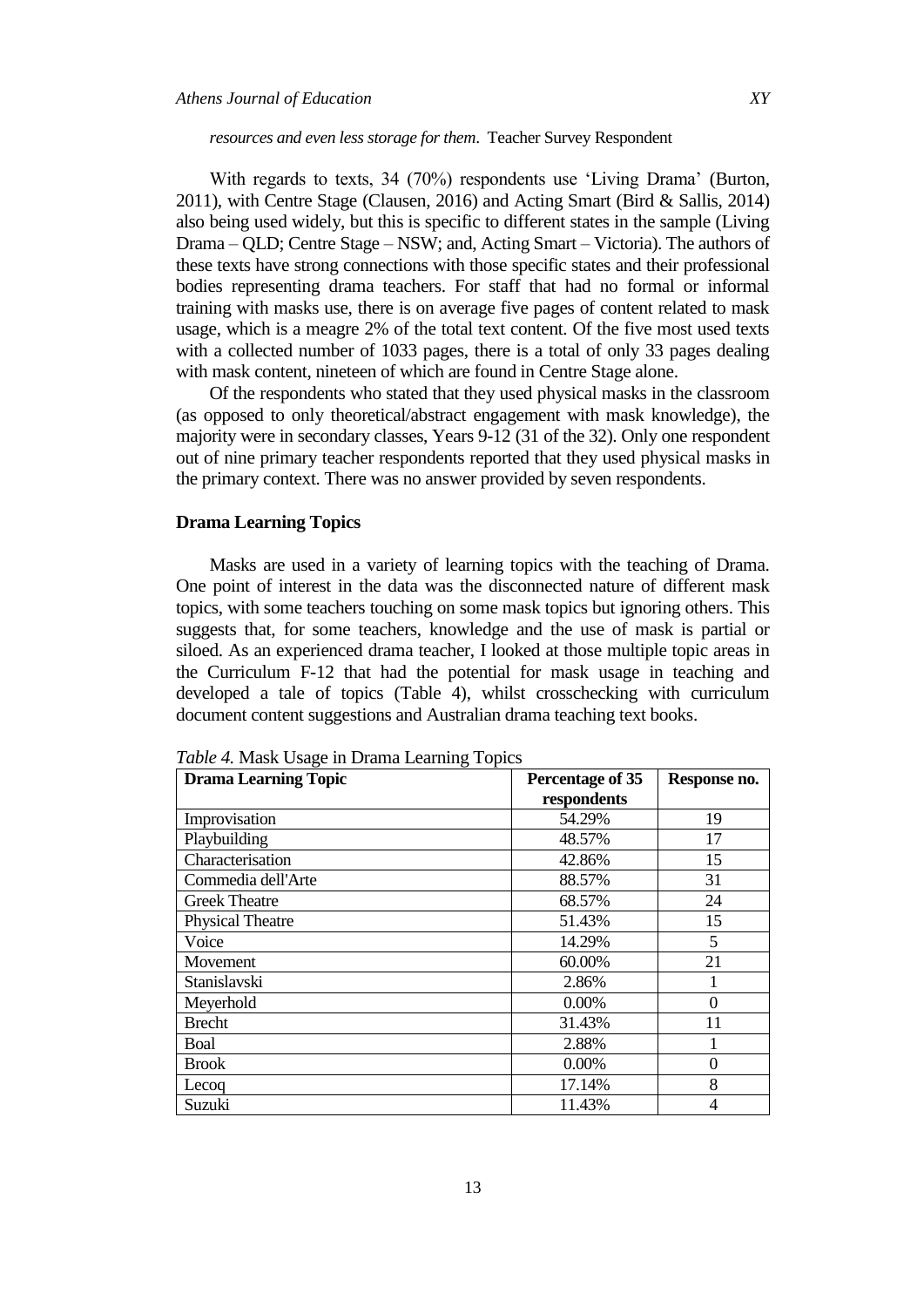#### *resources and even less storage for them*. Teacher Survey Respondent

With regards to texts, 34 (70%) respondents use 'Living Drama' (Burton, 2011), with Centre Stage (Clausen, 2016) and Acting Smart (Bird & Sallis, 2014) also being used widely, but this is specific to different states in the sample (Living Drama – QLD; Centre Stage – NSW; and, Acting Smart – Victoria). The authors of these texts have strong connections with those specific states and their professional bodies representing drama teachers. For staff that had no formal or informal training with masks use, there is on average five pages of content related to mask usage, which is a meagre 2% of the total text content. Of the five most used texts with a collected number of 1033 pages, there is a total of only 33 pages dealing with mask content, nineteen of which are found in Centre Stage alone.

Of the respondents who stated that they used physical masks in the classroom (as opposed to only theoretical/abstract engagement with mask knowledge), the majority were in secondary classes, Years 9-12 (31 of the 32). Only one respondent out of nine primary teacher respondents reported that they used physical masks in the primary context. There was no answer provided by seven respondents.

### **Drama Learning Topics**

Masks are used in a variety of learning topics with the teaching of Drama. One point of interest in the data was the disconnected nature of different mask topics, with some teachers touching on some mask topics but ignoring others. This suggests that, for some teachers, knowledge and the use of mask is partial or siloed. As an experienced drama teacher, I looked at those multiple topic areas in the Curriculum F-12 that had the potential for mask usage in teaching and developed a tale of topics (Table 4), whilst crosschecking with curriculum document content suggestions and Australian drama teaching text books.

| <b>Drama Learning Topic</b> | Percentage of 35 | Response no. |  |
|-----------------------------|------------------|--------------|--|
|                             | respondents      |              |  |
| Improvisation               | 54.29%           | 19           |  |
| Playbuilding                | 48.57%           | 17           |  |
| Characterisation            | 42.86%           | 15           |  |
| Commedia dell'Arte          | 88.57%           | 31           |  |
| <b>Greek Theatre</b>        | 68.57%           | 24           |  |
| <b>Physical Theatre</b>     | 51.43%           | 15           |  |
| Voice                       | 14.29%           | 5            |  |
| Movement                    | 60.00%           | 21           |  |
| Stanislavski                | 2.86%            |              |  |
| Meyerhold                   | $0.00\%$         | 0            |  |
| <b>Brecht</b>               | 31.43%           | 11           |  |
| Boal                        | 2.88%            |              |  |
| <b>Brook</b>                | 0.00%            | $\theta$     |  |
| Lecog                       | 17.14%           | 8            |  |
| Suzuki                      | 11.43%           | 4            |  |

*Table 4.* Mask Usage in Drama Learning Topics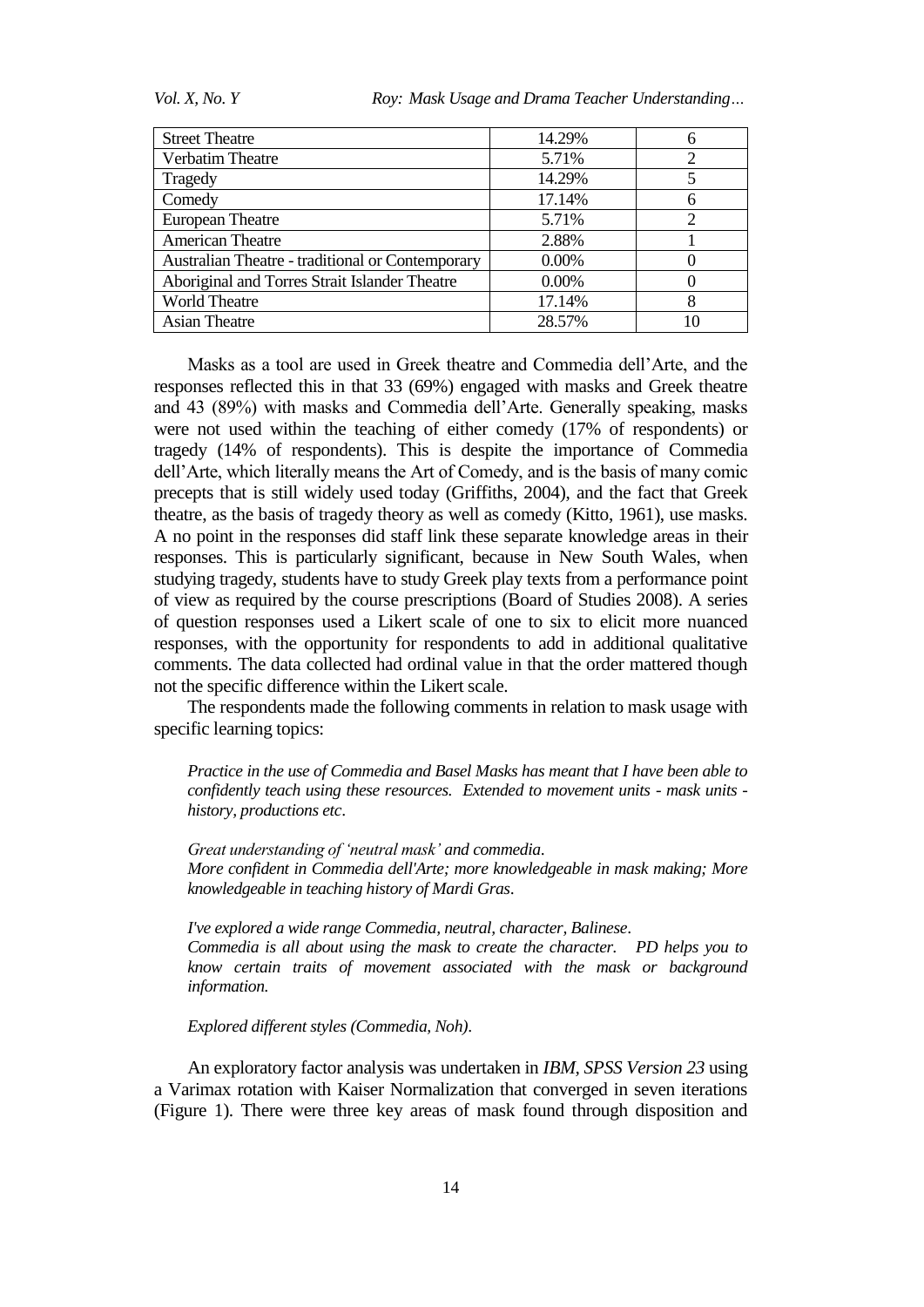*Vol. X, No. Y Roy: Mask Usage and Drama Teacher Understanding…*

| <b>Street Theatre</b>                            | 14.29%   | h              |
|--------------------------------------------------|----------|----------------|
| Verbatim Theatre                                 | 5.71%    | $\overline{2}$ |
| Tragedy                                          | 14.29%   |                |
| Comedy                                           | 17.14%   | n              |
| <b>European Theatre</b>                          | 5.71%    | ∍              |
| <b>American Theatre</b>                          | 2.88%    |                |
| Australian Theatre - traditional or Contemporary | $0.00\%$ |                |
| Aboriginal and Torres Strait Islander Theatre    | $0.00\%$ |                |
| <b>World Theatre</b>                             | 17.14%   | 8              |
| Asian Theatre                                    | 28.57%   | 10             |

Masks as a tool are used in Greek theatre and Commedia dell"Arte, and the responses reflected this in that 33 (69%) engaged with masks and Greek theatre and 43 (89%) with masks and Commedia dell"Arte. Generally speaking, masks were not used within the teaching of either comedy (17% of respondents) or tragedy (14% of respondents). This is despite the importance of Commedia dell"Arte, which literally means the Art of Comedy, and is the basis of many comic precepts that is still widely used today (Griffiths, 2004), and the fact that Greek theatre, as the basis of tragedy theory as well as comedy (Kitto, 1961), use masks. A no point in the responses did staff link these separate knowledge areas in their responses. This is particularly significant, because in New South Wales, when studying tragedy, students have to study Greek play texts from a performance point of view as required by the course prescriptions (Board of Studies 2008). A series of question responses used a Likert scale of one to six to elicit more nuanced responses, with the opportunity for respondents to add in additional qualitative comments. The data collected had ordinal value in that the order mattered though not the specific difference within the Likert scale.

The respondents made the following comments in relation to mask usage with specific learning topics:

*Practice in the use of Commedia and Basel Masks has meant that I have been able to confidently teach using these resources. Extended to movement units - mask units history, productions etc*.

*Great understanding of 'neutral mask' and commedia*. *More confident in Commedia dell'Arte; more knowledgeable in mask making; More knowledgeable in teaching history of Mardi Gras*.

*I've explored a wide range Commedia, neutral, character, Balinese*. *Commedia is all about using the mask to create the character. PD helps you to know certain traits of movement associated with the mask or background information.*

*Explored different styles (Commedia, Noh)*.

An exploratory factor analysis was undertaken in *IBM, SPSS Version 23* using a Varimax rotation with Kaiser Normalization that converged in seven iterations (Figure 1). There were three key areas of mask found through disposition and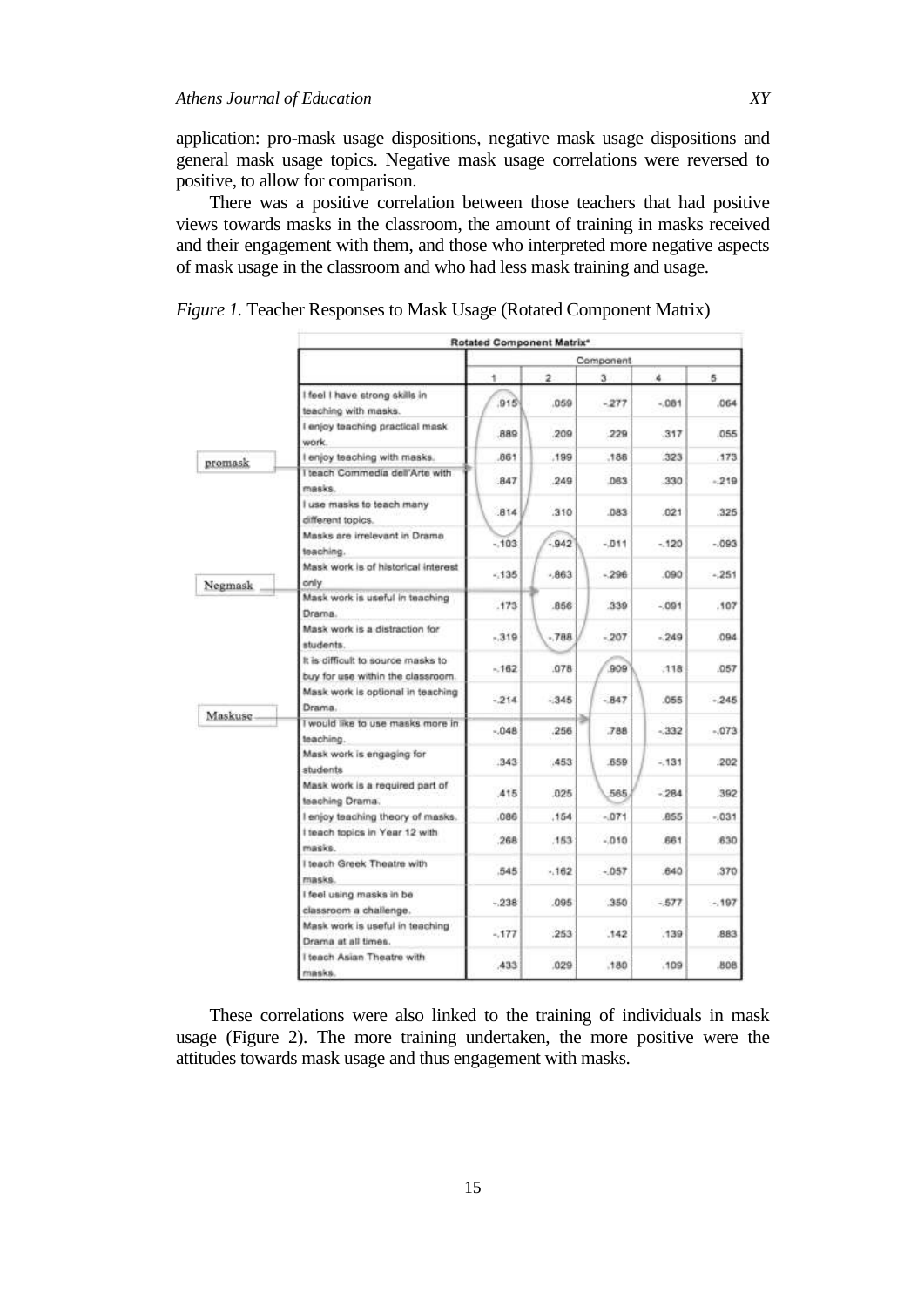application: pro-mask usage dispositions, negative mask usage dispositions and general mask usage topics. Negative mask usage correlations were reversed to positive, to allow for comparison.

There was a positive correlation between those teachers that had positive views towards masks in the classroom, the amount of training in masks received and their engagement with them, and those who interpreted more negative aspects of mask usage in the classroom and who had less mask training and usage.

|         | Rotated Component Matrix <sup>*</sup>                                   |           |              |        |        |            |
|---------|-------------------------------------------------------------------------|-----------|--------------|--------|--------|------------|
|         |                                                                         | Component |              |        |        |            |
|         |                                                                         | ۰         | $\mathbf{2}$ | з      | 4      | 6          |
|         | I feel I have strong skills in<br>teaching with masks.                  | 915       | .059         | $-277$ | $-081$ | 064        |
|         | I enjoy teaching practical mask<br>work.                                | 889       | .209         | .229   | 317    | .055       |
| promask | I enjoy teaching with masks.                                            | .861      | .199         | .188   | 323    | 173        |
|         | I teach Commedia dell'Arte with<br>masks.                               | 847       | .249         | .063   | .330   | $-219$     |
|         | I use masks to teach many<br>different topics.                          | .814      | .310         | .083   | .021   | 325        |
|         | Masks are irrelevant in Drama<br>teaching.                              | $-103$    | $-942$       | $-011$ | $-120$ | $-093$     |
| Negmask | Mask work is of historical interest<br>only                             | $-135$    | $-863$       | $-296$ | .090   | $-251$     |
|         | Mask work is useful in teaching<br>Drama.                               | .173      | .856         | 339    | $-091$ | .107       |
|         | Mask work is a distraction for<br>students.                             | $-319$    | $-788$       | $-207$ | $-249$ | .094       |
|         | It is difficult to source masks to<br>buy for use within the classroom. | $-162$    | .078         | 909    | $-118$ | 057        |
|         | Mask work is optional in teaching<br>Drama.                             | $-214$    | $-345$       | $-847$ | .055   | $-245$     |
| Maskuse | I would like to use masks more in<br>teaching.                          | $-048$    | .256         | .788   | $-332$ | $-073$     |
|         | Mask work is engaging for<br>students                                   | .343      | ,453         | .659   | $-131$ | 202        |
|         | Mask work is a required part of<br>teaching Drama.                      | .415      | .025         | 565    | $-284$ | 392        |
|         | I enjoy teaching theory of masks.                                       | .086      | .154         | $-071$ | 855    | $-031$     |
|         | I teach topics in Year 12 with<br>masks.                                | .268      | .153         | $-010$ | .661   | .630       |
|         | I teach Greek Theatre with<br>masks.                                    | .545      | $-162$       | $-057$ | .640   | 370        |
|         | I feel using masks in be<br>classroom a challenge.                      | $-238$    | .095         | .350   | $-577$ | $-197$     |
|         | Mask work is useful in teaching<br>Drama at all times.                  | $-.177$   | .253         | .142   | .139   | 883        |
|         | I teach Asian Theatre with<br>masks.                                    | 433       | .029         | .180   | .109   | <b>BOB</b> |

*Figure 1.* Teacher Responses to Mask Usage (Rotated Component Matrix)

These correlations were also linked to the training of individuals in mask usage (Figure 2). The more training undertaken, the more positive were the attitudes towards mask usage and thus engagement with masks.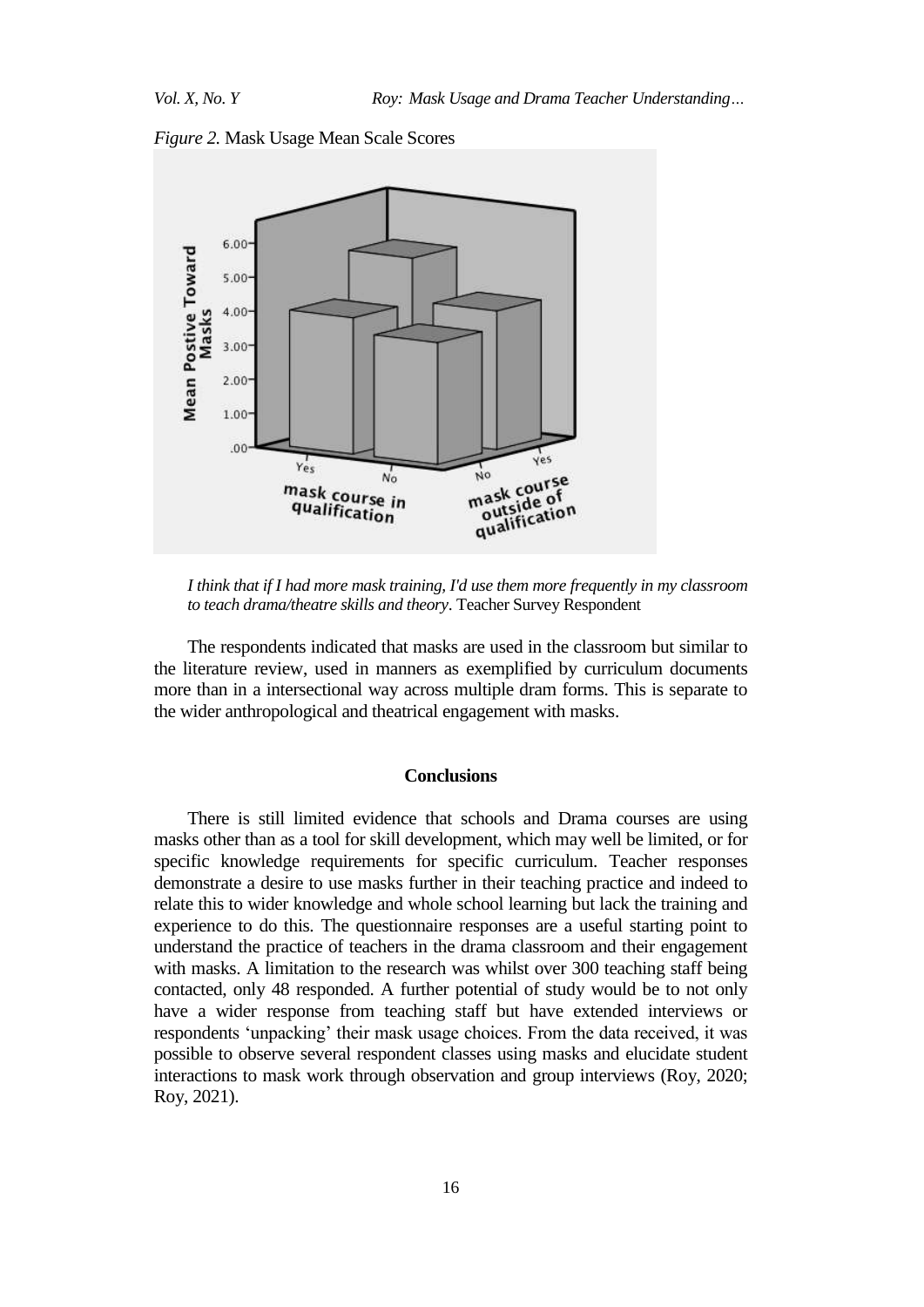



*I think that if I had more mask training, I'd use them more frequently in my classroom to teach drama/theatre skills and theory*. Teacher Survey Respondent

The respondents indicated that masks are used in the classroom but similar to the literature review, used in manners as exemplified by curriculum documents more than in a intersectional way across multiple dram forms. This is separate to the wider anthropological and theatrical engagement with masks.

#### **Conclusions**

There is still limited evidence that schools and Drama courses are using masks other than as a tool for skill development, which may well be limited, or for specific knowledge requirements for specific curriculum. Teacher responses demonstrate a desire to use masks further in their teaching practice and indeed to relate this to wider knowledge and whole school learning but lack the training and experience to do this. The questionnaire responses are a useful starting point to understand the practice of teachers in the drama classroom and their engagement with masks. A limitation to the research was whilst over 300 teaching staff being contacted, only 48 responded. A further potential of study would be to not only have a wider response from teaching staff but have extended interviews or respondents 'unpacking' their mask usage choices. From the data received, it was possible to observe several respondent classes using masks and elucidate student interactions to mask work through observation and group interviews (Roy, 2020; Roy, 2021).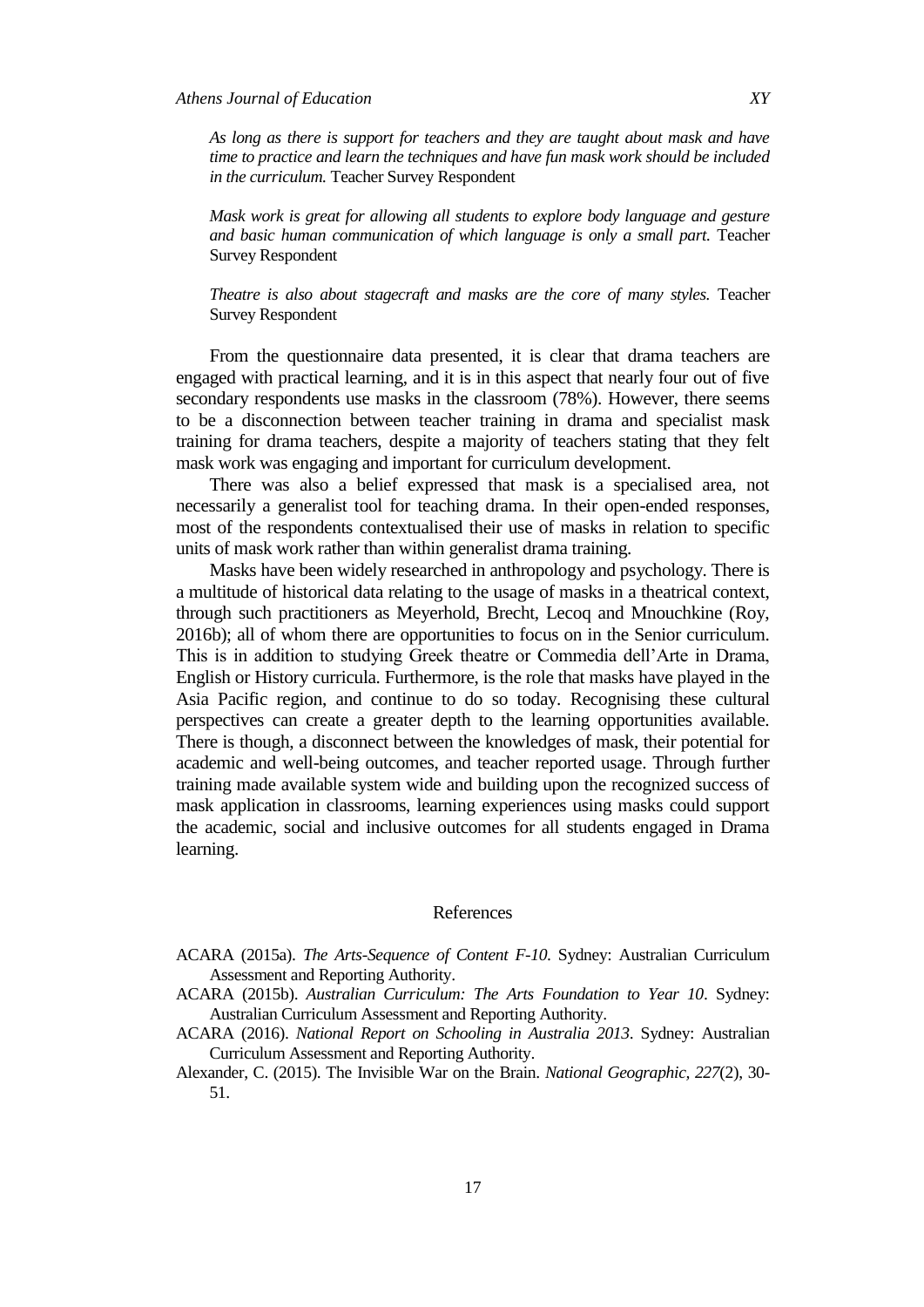*As long as there is support for teachers and they are taught about mask and have time to practice and learn the techniques and have fun mask work should be included in the curriculum.* Teacher Survey Respondent

*Mask work is great for allowing all students to explore body language and gesture and basic human communication of which language is only a small part.* Teacher Survey Respondent

*Theatre is also about stagecraft and masks are the core of many styles.* Teacher Survey Respondent

From the questionnaire data presented, it is clear that drama teachers are engaged with practical learning, and it is in this aspect that nearly four out of five secondary respondents use masks in the classroom (78%). However, there seems to be a disconnection between teacher training in drama and specialist mask training for drama teachers, despite a majority of teachers stating that they felt mask work was engaging and important for curriculum development.

There was also a belief expressed that mask is a specialised area, not necessarily a generalist tool for teaching drama. In their open-ended responses, most of the respondents contextualised their use of masks in relation to specific units of mask work rather than within generalist drama training.

Masks have been widely researched in anthropology and psychology. There is a multitude of historical data relating to the usage of masks in a theatrical context, through such practitioners as Meyerhold, Brecht, Lecoq and Mnouchkine (Roy, 2016b); all of whom there are opportunities to focus on in the Senior curriculum. This is in addition to studying Greek theatre or Commedia dell"Arte in Drama, English or History curricula. Furthermore, is the role that masks have played in the Asia Pacific region, and continue to do so today. Recognising these cultural perspectives can create a greater depth to the learning opportunities available. There is though, a disconnect between the knowledges of mask, their potential for academic and well-being outcomes, and teacher reported usage. Through further training made available system wide and building upon the recognized success of mask application in classrooms, learning experiences using masks could support the academic, social and inclusive outcomes for all students engaged in Drama learning.

#### References

- ACARA (2015a). *The Arts-Sequence of Content F-10*. Sydney: Australian Curriculum Assessment and Reporting Authority.
- ACARA (2015b). *Australian Curriculum: The Arts Foundation to Year 10*. Sydney: Australian Curriculum Assessment and Reporting Authority.
- ACARA (2016). *National Report on Schooling in Australia 2013*. Sydney: Australian Curriculum Assessment and Reporting Authority.
- Alexander, C. (2015). The Invisible War on the Brain. *National Geographic, 227*(2), 30- 51.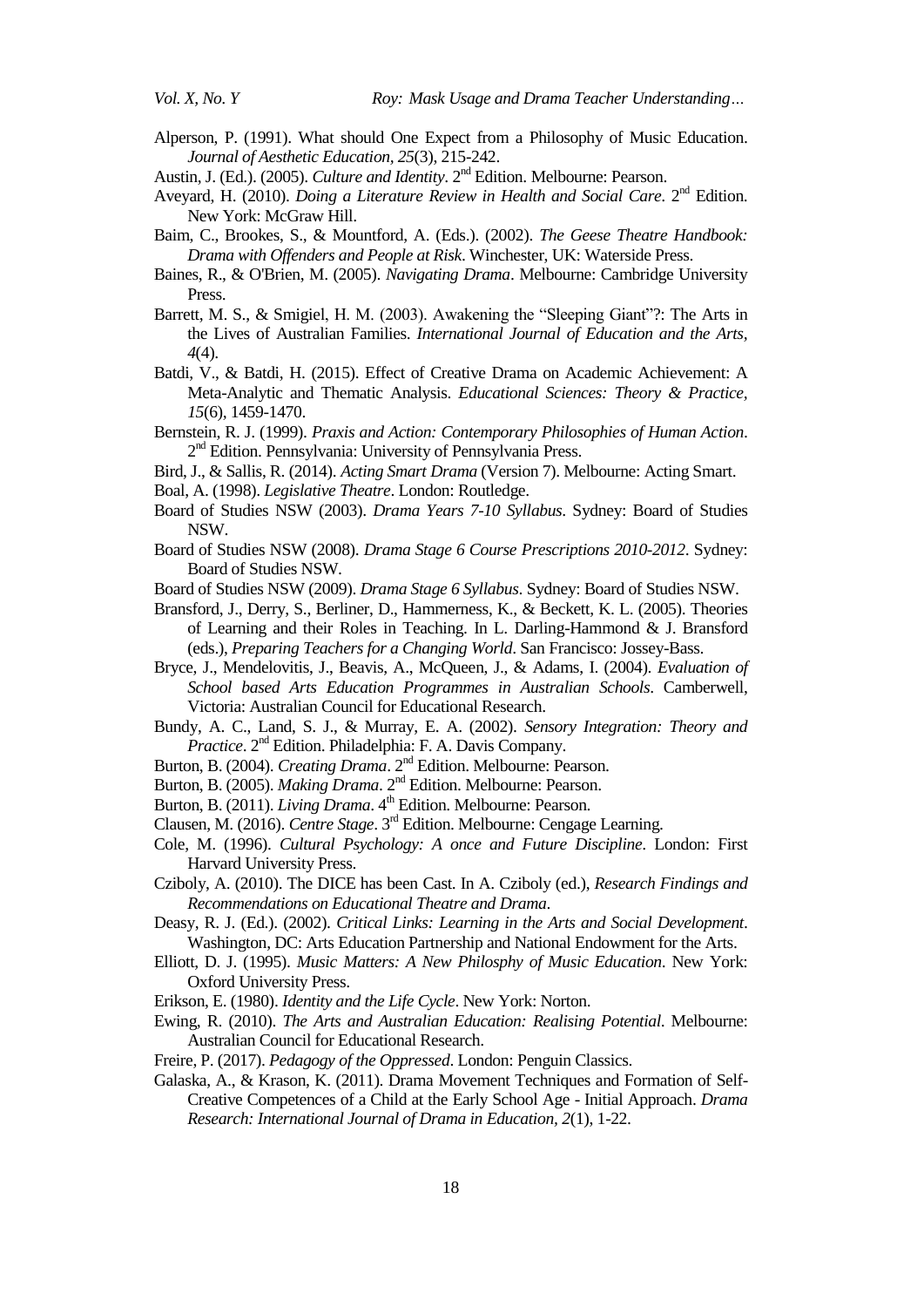Alperson, P. (1991). What should One Expect from a Philosophy of Music Education. *Journal of Aesthetic Education, 25*(3), 215-242.

- Aveyard, H. (2010). *Doing a Literature Review in Health and Social Care*. 2<sup>nd</sup> Edition. New York: McGraw Hill.
- Baim, C., Brookes, S., & Mountford, A. (Eds.). (2002). *The Geese Theatre Handbook: Drama with Offenders and People at Risk*. Winchester, UK: Waterside Press.
- Baines, R., & O'Brien, M. (2005). *Navigating Drama*. Melbourne: Cambridge University Press.
- Barrett, M. S., & Smigiel, H. M. (2003). Awakening the "Sleeping Giant"?: The Arts in the Lives of Australian Families. *International Journal of Education and the Arts, 4*(4).
- Batdi, V., & Batdi, H. (2015). Effect of Creative Drama on Academic Achievement: A Meta-Analytic and Thematic Analysis. *Educational Sciences: Theory & Practice, 15*(6), 1459-1470.
- Bernstein, R. J. (1999). *Praxis and Action: Contemporary Philosophies of Human Action*. 2<sup>nd</sup> Edition. Pennsylvania: University of Pennsylvania Press.
- Bird, J., & Sallis, R. (2014). *Acting Smart Drama* (Version 7). Melbourne: Acting Smart.
- Boal, A. (1998). *Legislative Theatre*. London: Routledge.
- Board of Studies NSW (2003). *Drama Years 7-10 Syllabus*. Sydney: Board of Studies NSW.
- Board of Studies NSW (2008). *Drama Stage 6 Course Prescriptions 2010-2012*. Sydney: Board of Studies NSW.
- Board of Studies NSW (2009). *Drama Stage 6 Syllabus*. Sydney: Board of Studies NSW.
- Bransford, J., Derry, S., Berliner, D., Hammerness, K., & Beckett, K. L. (2005). Theories of Learning and their Roles in Teaching. In L. Darling-Hammond & J. Bransford (eds.), *Preparing Teachers for a Changing World*. San Francisco: Jossey-Bass.
- Bryce, J., Mendelovitis, J., Beavis, A., McQueen, J., & Adams, I. (2004). *Evaluation of School based Arts Education Programmes in Australian Schools*. Camberwell, Victoria: Australian Council for Educational Research.
- Bundy, A. C., Land, S. J., & Murray, E. A. (2002). *Sensory Integration: Theory and*  Practice. 2<sup>nd</sup> Edition. Philadelphia: F. A. Davis Company.
- Burton, B. (2004). *Creating Drama*. 2<sup>nd</sup> Edition. Melbourne: Pearson.
- Burton, B. (2005). *Making Drama*. 2<sup>nd</sup> Edition. Melbourne: Pearson.
- Burton, B. (2011). *Living Drama*. 4<sup>th</sup> Edition. Melbourne: Pearson.
- Clausen, M. (2016). Centre Stage. 3<sup>rd</sup> Edition. Melbourne: Cengage Learning.
- Cole, M. (1996). *Cultural Psychology: A once and Future Discipline*. London: First Harvard University Press.
- Cziboly, A. (2010). The DICE has been Cast. In A. Cziboly (ed.), *Research Findings and Recommendations on Educational Theatre and Drama*.
- Deasy, R. J. (Ed.). (2002). *Critical Links: Learning in the Arts and Social Development*. Washington, DC: Arts Education Partnership and National Endowment for the Arts.
- Elliott, D. J. (1995). *Music Matters: A New Philosphy of Music Education*. New York: Oxford University Press.
- Erikson, E. (1980). *Identity and the Life Cycle*. New York: Norton.
- Ewing, R. (2010). *The Arts and Australian Education: Realising Potential*. Melbourne: Australian Council for Educational Research.
- Freire, P. (2017). *Pedagogy of the Oppressed*. London: Penguin Classics.
- Galaska, A., & Krason, K. (2011). Drama Movement Techniques and Formation of Self-Creative Competences of a Child at the Early School Age - Initial Approach. *Drama Research: International Journal of Drama in Education, 2*(1), 1-22.

Austin, J. (Ed.). (2005). *Culture and Identity*. 2<sup>nd</sup> Edition. Melbourne: Pearson.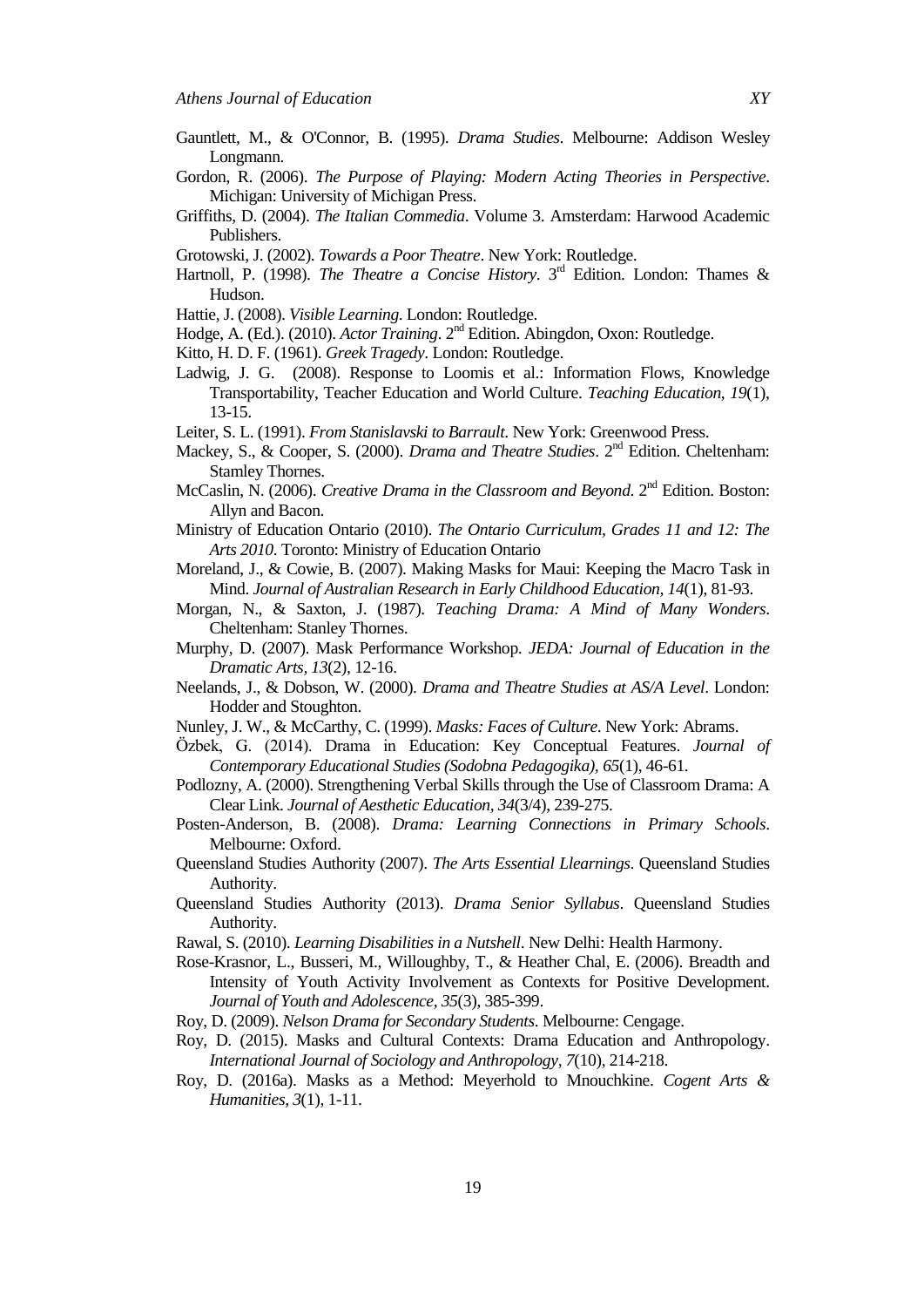- Gauntlett, M., & O'Connor, B. (1995). *Drama Studies*. Melbourne: Addison Wesley Longmann.
- Gordon, R. (2006). *The Purpose of Playing: Modern Acting Theories in Perspective*. Michigan: University of Michigan Press.
- Griffiths, D. (2004). *The Italian Commedia*. Volume 3. Amsterdam: Harwood Academic Publishers.
- Grotowski, J. (2002). *Towards a Poor Theatre*. New York: Routledge.
- Hartnoll, P. (1998). *The Theatre a Concise History*. 3<sup>rd</sup> Edition. London: Thames & Hudson.
- Hattie, J. (2008). *Visible Learning*. London: Routledge.
- Hodge, A. (Ed.). (2010). *Actor Training*. 2<sup>nd</sup> Edition. Abingdon, Oxon: Routledge.
- Kitto, H. D. F. (1961). *Greek Tragedy*. London: Routledge.
- Ladwig, J. G. (2008). Response to Loomis et al.: Information Flows, Knowledge Transportability, Teacher Education and World Culture. *Teaching Education, 19*(1), 13-15.
- Leiter, S. L. (1991). *From Stanislavski to Barrault*. New York: Greenwood Press.
- Mackey, S., & Cooper, S. (2000). *Drama and Theatre Studies*. 2<sup>nd</sup> Edition. Cheltenham: Stamley Thornes.
- McCaslin, N. (2006). *Creative Drama in the Classroom and Beyond*. 2<sup>nd</sup> Edition. Boston: Allyn and Bacon.
- Ministry of Education Ontario (2010). *The Ontario Curriculum, Grades 11 and 12: The Arts 2010*. Toronto: Ministry of Education Ontario
- Moreland, J., & Cowie, B. (2007). Making Masks for Maui: Keeping the Macro Task in Mind. *Journal of Australian Research in Early Childhood Education, 14*(1), 81-93.
- Morgan, N., & Saxton, J. (1987). *Teaching Drama: A Mind of Many Wonders*. Cheltenham: Stanley Thornes.
- Murphy, D. (2007). Mask Performance Workshop. *JEDA: Journal of Education in the Dramatic Arts, 13*(2), 12-16.
- Neelands, J., & Dobson, W. (2000). *Drama and Theatre Studies at AS/A Level*. London: Hodder and Stoughton.
- Nunley, J. W., & McCarthy, C. (1999). *Masks: Faces of Culture*. New York: Abrams.
- zbek, G. (2014). Drama in Education: Key Conceptual Features. *Journal of Contemporary Educational Studies (Sodobna Pedagogika), 65*(1), 46-61.
- Podlozny, A. (2000). Strengthening Verbal Skills through the Use of Classroom Drama: A Clear Link. *Journal of Aesthetic Education, 34*(3/4), 239-275.
- Posten-Anderson, B. (2008). *Drama: Learning Connections in Primary Schools*. Melbourne: Oxford.
- Queensland Studies Authority (2007). *The Arts Essential Llearnings*. Queensland Studies Authority.
- Queensland Studies Authority (2013). *Drama Senior Syllabus*. Queensland Studies Authority.
- Rawal, S. (2010). *Learning Disabilities in a Nutshell*. New Delhi: Health Harmony.
- Rose-Krasnor, L., Busseri, M., Willoughby, T., & Heather Chal, E. (2006). Breadth and Intensity of Youth Activity Involvement as Contexts for Positive Development. *Journal of Youth and Adolescence, 35*(3), 385-399.
- Roy, D. (2009). *Nelson Drama for Secondary Students*. Melbourne: Cengage.
- Roy, D. (2015). Masks and Cultural Contexts: Drama Education and Anthropology. *International Journal of Sociology and Anthropology, 7*(10), 214-218.
- Roy, D. (2016a). Masks as a Method: Meyerhold to Mnouchkine. *Cogent Arts & Humanities, 3*(1), 1-11.